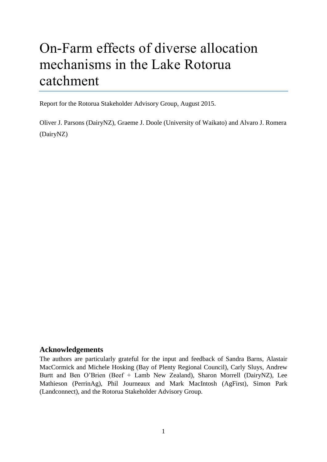# On-Farm effects of diverse allocation mechanisms in the Lake Rotorua catchment

Report for the Rotorua Stakeholder Advisory Group, August 2015.

Oliver J. Parsons (DairyNZ), Graeme J. Doole (University of Waikato) and Alvaro J. Romera (DairyNZ)

# <span id="page-0-0"></span>**Acknowledgements**

The authors are particularly grateful for the input and feedback of Sandra Barns, Alastair MacCormick and Michele Hosking (Bay of Plenty Regional Council), Carly Sluys, Andrew Burtt and Ben O'Brien (Beef + Lamb New Zealand), Sharon Morrell (DairyNZ), Lee Mathieson (PerrinAg), Phil Journeaux and Mark MacIntosh (AgFirst), Simon Park (Landconnect), and the Rotorua Stakeholder Advisory Group.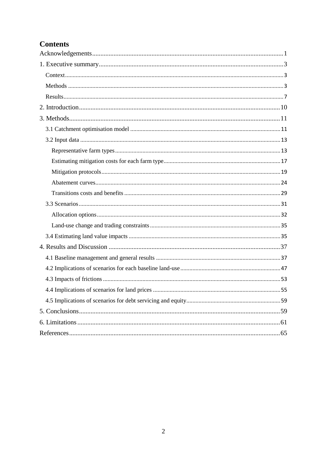# **Contents**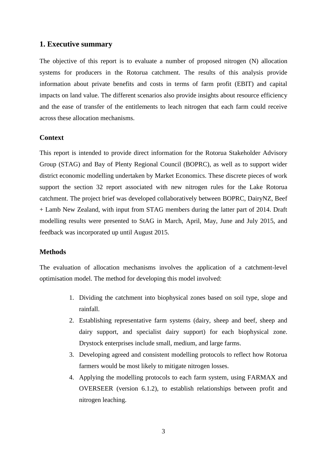#### <span id="page-2-0"></span>**1. Executive summary**

The objective of this report is to evaluate a number of proposed nitrogen (N) allocation systems for producers in the Rotorua catchment. The results of this analysis provide information about private benefits and costs in terms of farm profit (EBIT) and capital impacts on land value. The different scenarios also provide insights about resource efficiency and the ease of transfer of the entitlements to leach nitrogen that each farm could receive across these allocation mechanisms.

#### <span id="page-2-1"></span>**Context**

This report is intended to provide direct information for the Rotorua Stakeholder Advisory Group (STAG) and Bay of Plenty Regional Council (BOPRC), as well as to support wider district economic modelling undertaken by Market Economics. These discrete pieces of work support the section 32 report associated with new nitrogen rules for the Lake Rotorua catchment. The project brief was developed collaboratively between BOPRC, DairyNZ, Beef + Lamb New Zealand, with input from STAG members during the latter part of 2014. Draft modelling results were presented to StAG in March, April, May, June and July 2015, and feedback was incorporated up until August 2015.

# <span id="page-2-2"></span>**Methods**

The evaluation of allocation mechanisms involves the application of a catchment-level optimisation model. The method for developing this model involved:

- 1. Dividing the catchment into biophysical zones based on soil type, slope and rainfall.
- 2. Establishing representative farm systems (dairy, sheep and beef, sheep and dairy support, and specialist dairy support) for each biophysical zone. Drystock enterprises include small, medium, and large farms.
- 3. Developing agreed and consistent modelling protocols to reflect how Rotorua farmers would be most likely to mitigate nitrogen losses.
- 4. Applying the modelling protocols to each farm system, using FARMAX and OVERSEER (version 6.1.2), to establish relationships between profit and nitrogen leaching.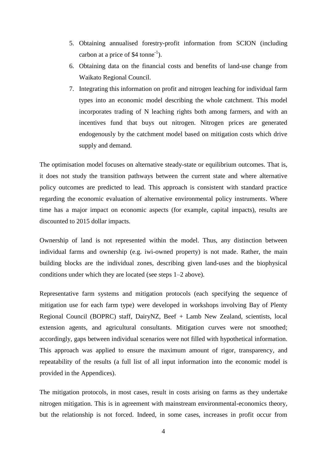- 5. Obtaining annualised forestry-profit information from SCION (including carbon at a price of \$4 tonne<sup>-1</sup>).
- 6. Obtaining data on the financial costs and benefits of land-use change from Waikato Regional Council.
- 7. Integrating this information on profit and nitrogen leaching for individual farm types into an economic model describing the whole catchment. This model incorporates trading of N leaching rights both among farmers, and with an incentives fund that buys out nitrogen. Nitrogen prices are generated endogenously by the catchment model based on mitigation costs which drive supply and demand.

The optimisation model focuses on alternative steady-state or equilibrium outcomes. That is, it does not study the transition pathways between the current state and where alternative policy outcomes are predicted to lead. This approach is consistent with standard practice regarding the economic evaluation of alternative environmental policy instruments. Where time has a major impact on economic aspects (for example, capital impacts), results are discounted to 2015 dollar impacts.

Ownership of land is not represented within the model. Thus, any distinction between individual farms and ownership (e.g. iwi-owned property) is not made. Rather, the main building blocks are the individual zones, describing given land-uses and the biophysical conditions under which they are located (see steps 1–2 above).

Representative farm systems and mitigation protocols (each specifying the sequence of mitigation use for each farm type) were developed in workshops involving Bay of Plenty Regional Council (BOPRC) staff, DairyNZ, Beef + Lamb New Zealand, scientists, local extension agents, and agricultural consultants. Mitigation curves were not smoothed; accordingly, gaps between individual scenarios were not filled with hypothetical information. This approach was applied to ensure the maximum amount of rigor, transparency, and repeatability of the results (a full list of all input information into the economic model is provided in the Appendices).

The mitigation protocols, in most cases, result in costs arising on farms as they undertake nitrogen mitigation. This is in agreement with mainstream environmental-economics theory, but the relationship is not forced. Indeed, in some cases, increases in profit occur from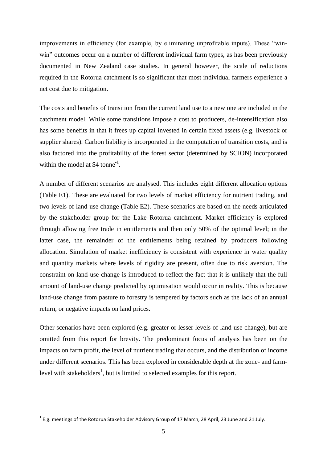improvements in efficiency (for example, by eliminating unprofitable inputs). These "winwin" outcomes occur on a number of different individual farm types, as has been previously documented in New Zealand case studies. In general however, the scale of reductions required in the Rotorua catchment is so significant that most individual farmers experience a net cost due to mitigation.

The costs and benefits of transition from the current land use to a new one are included in the catchment model. While some transitions impose a cost to producers, de-intensification also has some benefits in that it frees up capital invested in certain fixed assets (e.g. livestock or supplier shares). Carbon liability is incorporated in the computation of transition costs, and is also factored into the profitability of the forest sector (determined by SCION) incorporated within the model at  $$4$  tonne<sup>-1</sup>.

A number of different scenarios are analysed. This includes eight different allocation options (Table E1). These are evaluated for two levels of market efficiency for nutrient trading, and two levels of land-use change (Table E2). These scenarios are based on the needs articulated by the stakeholder group for the Lake Rotorua catchment. Market efficiency is explored through allowing free trade in entitlements and then only 50% of the optimal level; in the latter case, the remainder of the entitlements being retained by producers following allocation. Simulation of market inefficiency is consistent with experience in water quality and quantity markets where levels of rigidity are present, often due to risk aversion. The constraint on land-use change is introduced to reflect the fact that it is unlikely that the full amount of land-use change predicted by optimisation would occur in reality. This is because land-use change from pasture to forestry is tempered by factors such as the lack of an annual return, or negative impacts on land prices.

Other scenarios have been explored (e.g. greater or lesser levels of land-use change), but are omitted from this report for brevity. The predominant focus of analysis has been on the impacts on farm profit, the level of nutrient trading that occurs, and the distribution of income under different scenarios. This has been explored in considerable depth at the zone- and farmlevel with stakeholders<sup>1</sup>, but is limited to selected examples for this report.

**.** 

 $^{1}$  E.g. meetings of the Rotorua Stakeholder Advisory Group of 17 March, 28 April, 23 June and 21 July.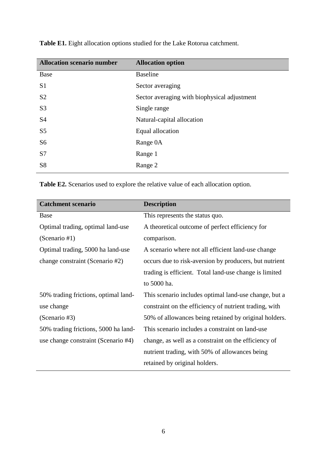| <b>Allocation scenario number</b> | <b>Allocation option</b>                     |
|-----------------------------------|----------------------------------------------|
| Base                              | <b>Baseline</b>                              |
| S <sub>1</sub>                    | Sector averaging                             |
| S <sub>2</sub>                    | Sector averaging with biophysical adjustment |
| S <sub>3</sub>                    | Single range                                 |
| S <sub>4</sub>                    | Natural-capital allocation                   |
| S <sub>5</sub>                    | Equal allocation                             |
| S <sub>6</sub>                    | Range 0A                                     |
| S7                                | Range 1                                      |
| S <sub>8</sub>                    | Range 2                                      |
|                                   |                                              |

**Table E1.** Eight allocation options studied for the Lake Rotorua catchment.

**Table E2.** Scenarios used to explore the relative value of each allocation option.

| <b>Catchment scenario</b>            | <b>Description</b>                                     |
|--------------------------------------|--------------------------------------------------------|
| Base                                 | This represents the status quo.                        |
| Optimal trading, optimal land-use    | A theoretical outcome of perfect efficiency for        |
| (Scenario #1)                        | comparison.                                            |
| Optimal trading, 5000 ha land-use    | A scenario where not all efficient land-use change     |
| change constraint (Scenario #2)      | occurs due to risk-aversion by producers, but nutrient |
|                                      | trading is efficient. Total land-use change is limited |
|                                      | to 5000 ha.                                            |
| 50% trading frictions, optimal land- | This scenario includes optimal land-use change, but a  |
| use change                           | constraint on the efficiency of nutrient trading, with |
| (Scenario #3)                        | 50% of allowances being retained by original holders.  |
| 50% trading frictions, 5000 ha land- | This scenario includes a constraint on land-use        |
| use change constraint (Scenario #4)  | change, as well as a constraint on the efficiency of   |
|                                      | nutrient trading, with 50% of allowances being         |
|                                      | retained by original holders.                          |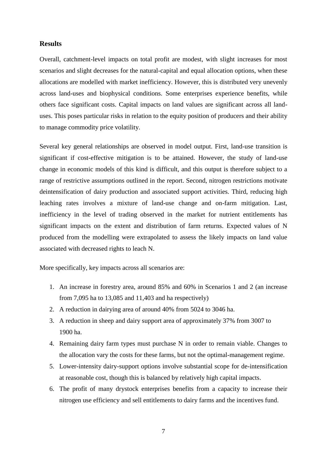#### <span id="page-6-0"></span>**Results**

Overall, catchment-level impacts on total profit are modest, with slight increases for most scenarios and slight decreases for the natural-capital and equal allocation options, when these allocations are modelled with market inefficiency. However, this is distributed very unevenly across land-uses and biophysical conditions. Some enterprises experience benefits, while others face significant costs. Capital impacts on land values are significant across all landuses. This poses particular risks in relation to the equity position of producers and their ability to manage commodity price volatility.

Several key general relationships are observed in model output. First, land-use transition is significant if cost-effective mitigation is to be attained. However, the study of land-use change in economic models of this kind is difficult, and this output is therefore subject to a range of restrictive assumptions outlined in the report. Second, nitrogen restrictions motivate deintensification of dairy production and associated support activities. Third, reducing high leaching rates involves a mixture of land-use change and on-farm mitigation. Last, inefficiency in the level of trading observed in the market for nutrient entitlements has significant impacts on the extent and distribution of farm returns. Expected values of N produced from the modelling were extrapolated to assess the likely impacts on land value associated with decreased rights to leach N.

More specifically, key impacts across all scenarios are:

- 1. An increase in forestry area, around 85% and 60% in Scenarios 1 and 2 (an increase from 7,095 ha to 13,085 and 11,403 and ha respectively)
- 2. A reduction in dairying area of around 40% from 5024 to 3046 ha.
- 3. A reduction in sheep and dairy support area of approximately 37% from 3007 to 1900 ha.
- 4. Remaining dairy farm types must purchase N in order to remain viable. Changes to the allocation vary the costs for these farms, but not the optimal-management regime.
- 5. Lower-intensity dairy-support options involve substantial scope for de-intensification at reasonable cost, though this is balanced by relatively high capital impacts.
- 6. The profit of many drystock enterprises benefits from a capacity to increase their nitrogen use efficiency and sell entitlements to dairy farms and the incentives fund.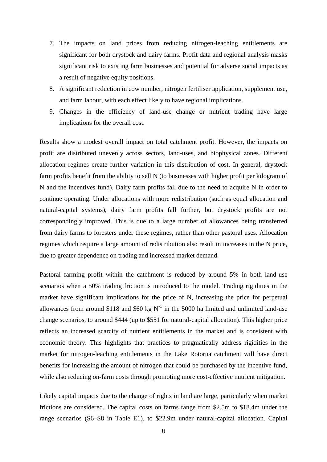- 7. The impacts on land prices from reducing nitrogen-leaching entitlements are significant for both drystock and dairy farms. Profit data and regional analysis masks significant risk to existing farm businesses and potential for adverse social impacts as a result of negative equity positions.
- 8. A significant reduction in cow number, nitrogen fertiliser application, supplement use, and farm labour, with each effect likely to have regional implications.
- 9. Changes in the efficiency of land-use change or nutrient trading have large implications for the overall cost.

Results show a modest overall impact on total catchment profit. However, the impacts on profit are distributed unevenly across sectors, land-uses, and biophysical zones. Different allocation regimes create further variation in this distribution of cost. In general, drystock farm profits benefit from the ability to sell N (to businesses with higher profit per kilogram of N and the incentives fund). Dairy farm profits fall due to the need to acquire N in order to continue operating. Under allocations with more redistribution (such as equal allocation and natural-capital systems), dairy farm profits fall further, but drystock profits are not correspondingly improved. This is due to a large number of allowances being transferred from dairy farms to foresters under these regimes, rather than other pastoral uses. Allocation regimes which require a large amount of redistribution also result in increases in the N price, due to greater dependence on trading and increased market demand.

Pastoral farming profit within the catchment is reduced by around 5% in both land-use scenarios when a 50% trading friction is introduced to the model. Trading rigidities in the market have significant implications for the price of N, increasing the price for perpetual allowances from around \$118 and \$60 kg  $N^{-1}$  in the 5000 ha limited and unlimited land-use change scenarios, to around \$444 (up to \$551 for natural-capital allocation). This higher price reflects an increased scarcity of nutrient entitlements in the market and is consistent with economic theory. This highlights that practices to pragmatically address rigidities in the market for nitrogen-leaching entitlements in the Lake Rotorua catchment will have direct benefits for increasing the amount of nitrogen that could be purchased by the incentive fund, while also reducing on-farm costs through promoting more cost-effective nutrient mitigation.

Likely capital impacts due to the change of rights in land are large, particularly when market frictions are considered. The capital costs on farms range from \$2.5m to \$18.4m under the range scenarios (S6–S8 in Table E1), to \$22.9m under natural-capital allocation. Capital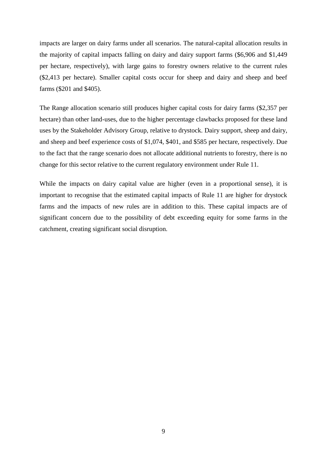impacts are larger on dairy farms under all scenarios. The natural-capital allocation results in the majority of capital impacts falling on dairy and dairy support farms (\$6,906 and \$1,449 per hectare, respectively), with large gains to forestry owners relative to the current rules (\$2,413 per hectare). Smaller capital costs occur for sheep and dairy and sheep and beef farms (\$201 and \$405).

The Range allocation scenario still produces higher capital costs for dairy farms (\$2,357 per hectare) than other land-uses, due to the higher percentage clawbacks proposed for these land uses by the Stakeholder Advisory Group, relative to drystock. Dairy support, sheep and dairy, and sheep and beef experience costs of \$1,074, \$401, and \$585 per hectare, respectively. Due to the fact that the range scenario does not allocate additional nutrients to forestry, there is no change for this sector relative to the current regulatory environment under Rule 11.

While the impacts on dairy capital value are higher (even in a proportional sense), it is important to recognise that the estimated capital impacts of Rule 11 are higher for drystock farms and the impacts of new rules are in addition to this. These capital impacts are of significant concern due to the possibility of debt exceeding equity for some farms in the catchment, creating significant social disruption.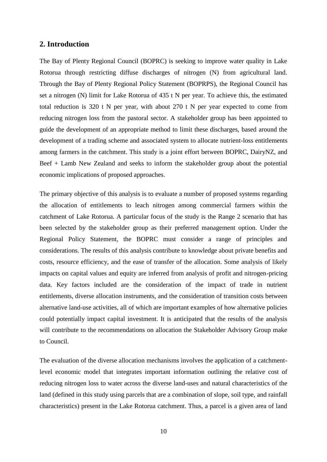### <span id="page-9-0"></span>**2. Introduction**

The Bay of Plenty Regional Council (BOPRC) is seeking to improve water quality in Lake Rotorua through restricting diffuse discharges of nitrogen (N) from agricultural land. Through the Bay of Plenty Regional Policy Statement (BOPRPS), the Regional Council has set a nitrogen (N) limit for Lake Rotorua of 435 t N per year. To achieve this, the estimated total reduction is 320 t N per year, with about 270 t N per year expected to come from reducing nitrogen loss from the pastoral sector. A stakeholder group has been appointed to guide the development of an appropriate method to limit these discharges, based around the development of a trading scheme and associated system to allocate nutrient-loss entitlements among farmers in the catchment. This study is a joint effort between BOPRC, DairyNZ, and Beef + Lamb New Zealand and seeks to inform the stakeholder group about the potential economic implications of proposed approaches.

The primary objective of this analysis is to evaluate a number of proposed systems regarding the allocation of entitlements to leach nitrogen among commercial farmers within the catchment of Lake Rotorua. A particular focus of the study is the Range 2 scenario that has been selected by the stakeholder group as their preferred management option. Under the Regional Policy Statement, the BOPRC must consider a range of principles and considerations. The results of this analysis contribute to knowledge about private benefits and costs, resource efficiency, and the ease of transfer of the allocation. Some analysis of likely impacts on capital values and equity are inferred from analysis of profit and nitrogen-pricing data. Key factors included are the consideration of the impact of trade in nutrient entitlements, diverse allocation instruments, and the consideration of transition costs between alternative land-use activities, all of which are important examples of how alternative policies could potentially impact capital investment. It is anticipated that the results of the analysis will contribute to the recommendations on allocation the Stakeholder Advisory Group make to Council.

The evaluation of the diverse allocation mechanisms involves the application of a catchmentlevel economic model that integrates important information outlining the relative cost of reducing nitrogen loss to water across the diverse land-uses and natural characteristics of the land (defined in this study using parcels that are a combination of slope, soil type, and rainfall characteristics) present in the Lake Rotorua catchment. Thus, a parcel is a given area of land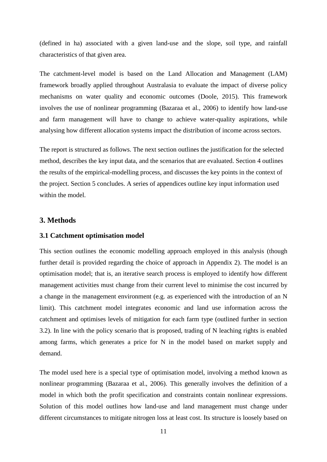(defined in ha) associated with a given land-use and the slope, soil type, and rainfall characteristics of that given area.

The catchment-level model is based on the Land Allocation and Management (LAM) framework broadly applied throughout Australasia to evaluate the impact of diverse policy mechanisms on water quality and economic outcomes (Doole, 2015). This framework involves the use of nonlinear programming (Bazaraa et al., 2006) to identify how land-use and farm management will have to change to achieve water-quality aspirations, while analysing how different allocation systems impact the distribution of income across sectors.

The report is structured as follows. The next section outlines the justification for the selected method, describes the key input data, and the scenarios that are evaluated. Section 4 outlines the results of the empirical-modelling process, and discusses the key points in the context of the project. Section 5 concludes. A series of appendices outline key input information used within the model.

# <span id="page-10-0"></span>**3. Methods**

#### <span id="page-10-1"></span>**3.1 Catchment optimisation model**

This section outlines the economic modelling approach employed in this analysis (though further detail is provided regarding the choice of approach in Appendix 2). The model is an optimisation model; that is, an iterative search process is employed to identify how different management activities must change from their current level to minimise the cost incurred by a change in the management environment (e.g. as experienced with the introduction of an N limit). This catchment model integrates economic and land use information across the catchment and optimises levels of mitigation for each farm type (outlined further in section 3.2). In line with the policy scenario that is proposed, trading of N leaching rights is enabled among farms, which generates a price for N in the model based on market supply and demand.

The model used here is a special type of optimisation model, involving a method known as nonlinear programming (Bazaraa et al., 2006). This generally involves the definition of a model in which both the profit specification and constraints contain nonlinear expressions. Solution of this model outlines how land-use and land management must change under different circumstances to mitigate nitrogen loss at least cost. Its structure is loosely based on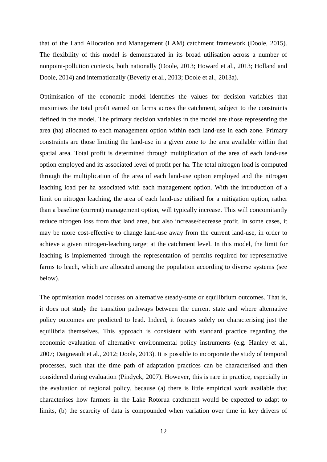that of the Land Allocation and Management (LAM) catchment framework (Doole, 2015). The flexibility of this model is demonstrated in its broad utilisation across a number of nonpoint-pollution contexts, both nationally (Doole, 2013; Howard et al., 2013; Holland and Doole, 2014) and internationally (Beverly et al., 2013; Doole et al., 2013a).

Optimisation of the economic model identifies the values for decision variables that maximises the total profit earned on farms across the catchment, subject to the constraints defined in the model. The primary decision variables in the model are those representing the area (ha) allocated to each management option within each land-use in each zone. Primary constraints are those limiting the land-use in a given zone to the area available within that spatial area. Total profit is determined through multiplication of the area of each land-use option employed and its associated level of profit per ha. The total nitrogen load is computed through the multiplication of the area of each land-use option employed and the nitrogen leaching load per ha associated with each management option. With the introduction of a limit on nitrogen leaching, the area of each land-use utilised for a mitigation option, rather than a baseline (current) management option, will typically increase. This will concomitantly reduce nitrogen loss from that land area, but also increase/decrease profit. In some cases, it may be more cost-effective to change land-use away from the current land-use, in order to achieve a given nitrogen-leaching target at the catchment level. In this model, the limit for leaching is implemented through the representation of permits required for representative farms to leach, which are allocated among the population according to diverse systems (see below).

The optimisation model focuses on alternative steady-state or equilibrium outcomes. That is, it does not study the transition pathways between the current state and where alternative policy outcomes are predicted to lead. Indeed, it focuses solely on characterising just the equilibria themselves. This approach is consistent with standard practice regarding the economic evaluation of alternative environmental policy instruments (e.g. Hanley et al., 2007; Daigneault et al., 2012; Doole, 2013). It is possible to incorporate the study of temporal processes, such that the time path of adaptation practices can be characterised and then considered during evaluation (Pindyck, 2007). However, this is rare in practice, especially in the evaluation of regional policy, because (a) there is little empirical work available that characterises how farmers in the Lake Rotorua catchment would be expected to adapt to limits, (b) the scarcity of data is compounded when variation over time in key drivers of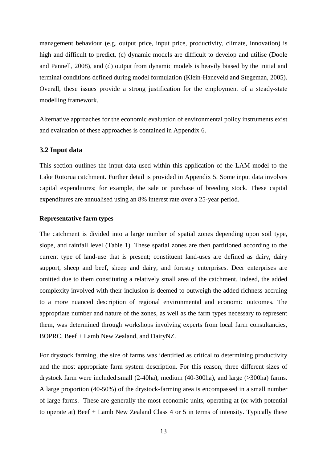management behaviour (e.g. output price, input price, productivity, climate, innovation) is high and difficult to predict, (c) dynamic models are difficult to develop and utilise (Doole and Pannell, 2008), and (d) output from dynamic models is heavily biased by the initial and terminal conditions defined during model formulation (Klein-Haneveld and Stegeman, 2005). Overall, these issues provide a strong justification for the employment of a steady-state modelling framework.

Alternative approaches for the economic evaluation of environmental policy instruments exist and evaluation of these approaches is contained in Appendix 6.

#### <span id="page-12-0"></span>**3.2 Input data**

This section outlines the input data used within this application of the LAM model to the Lake Rotorua catchment. Further detail is provided in Appendix 5. Some input data involves capital expenditures; for example, the sale or purchase of breeding stock. These capital expenditures are annualised using an 8% interest rate over a 25-year period.

#### <span id="page-12-1"></span>**Representative farm types**

The catchment is divided into a large number of spatial zones depending upon soil type, slope, and rainfall level (Table 1). These spatial zones are then partitioned according to the current type of land-use that is present; constituent land-uses are defined as dairy, dairy support, sheep and beef, sheep and dairy, and forestry enterprises. Deer enterprises are omitted due to them constituting a relatively small area of the catchment. Indeed, the added complexity involved with their inclusion is deemed to outweigh the added richness accruing to a more nuanced description of regional environmental and economic outcomes. The appropriate number and nature of the zones, as well as the farm types necessary to represent them, was determined through workshops involving experts from local farm consultancies, BOPRC, Beef + Lamb New Zealand, and DairyNZ.

For drystock farming, the size of farms was identified as critical to determining productivity and the most appropriate farm system description. For this reason, three different sizes of drystock farm were included:small (2-40ha), medium (40-300ha), and large (>300ha) farms. A large proportion (40-50%) of the drystock-farming area is encompassed in a small number of large farms. These are generally the most economic units, operating at (or with potential to operate at) Beef + Lamb New Zealand Class 4 or 5 in terms of intensity. Typically these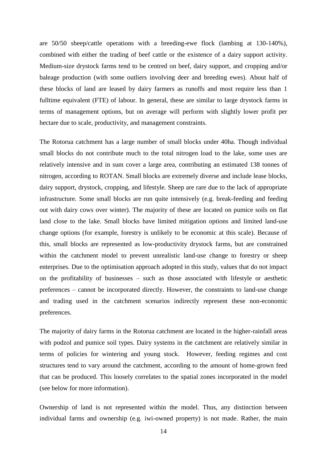are 50/50 sheep/cattle operations with a breeding-ewe flock (lambing at 130-140%), combined with either the trading of beef cattle or the existence of a dairy support activity. Medium-size drystock farms tend to be centred on beef, dairy support, and cropping and/or baleage production (with some outliers involving deer and breeding ewes). About half of these blocks of land are leased by dairy farmers as runoffs and most require less than 1 fulltime equivalent (FTE) of labour. In general, these are similar to large drystock farms in terms of management options, but on average will perform with slightly lower profit per hectare due to scale, productivity, and management constraints.

The Rotorua catchment has a large number of small blocks under 40ha. Though individual small blocks do not contribute much to the total nitrogen load to the lake, some uses are relatively intensive and in sum cover a large area, contributing an estimated 138 tonnes of nitrogen, according to ROTAN. Small blocks are extremely diverse and include lease blocks, dairy support, drystock, cropping, and lifestyle. Sheep are rare due to the lack of appropriate infrastructure. Some small blocks are run quite intensively (e.g. break-feeding and feeding out with dairy cows over winter). The majority of these are located on pumice soils on flat land close to the lake. Small blocks have limited mitigation options and limited land-use change options (for example, forestry is unlikely to be economic at this scale). Because of this, small blocks are represented as low-productivity drystock farms, but are constrained within the catchment model to prevent unrealistic land-use change to forestry or sheep enterprises. Due to the optimisation approach adopted in this study, values that do not impact on the profitability of businesses – such as those associated with lifestyle or aesthetic preferences – cannot be incorporated directly. However, the constraints to land-use change and trading used in the catchment scenarios indirectly represent these non-economic preferences.

The majority of dairy farms in the Rotorua catchment are located in the higher-rainfall areas with podzol and pumice soil types. Dairy systems in the catchment are relatively similar in terms of policies for wintering and young stock. However, feeding regimes and cost structures tend to vary around the catchment, according to the amount of home-grown feed that can be produced. This loosely correlates to the spatial zones incorporated in the model (see below for more information).

Ownership of land is not represented within the model. Thus, any distinction between individual farms and ownership (e.g. iwi-owned property) is not made. Rather, the main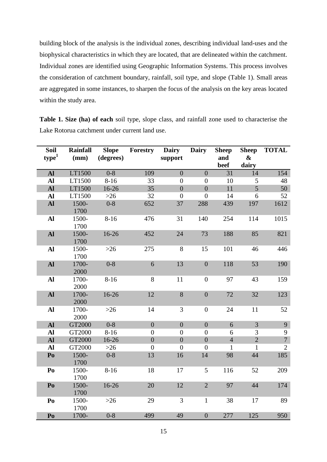building block of the analysis is the individual zones, describing individual land-uses and the biophysical characteristics in which they are located, that are delineated within the catchment. Individual zones are identified using Geographic Information Systems. This process involves the consideration of catchment boundary, rainfall, soil type, and slope (Table 1). Small areas are aggregated in some instances, to sharpen the focus of the analysis on the key areas located within the study area.

**Table 1. Size (ha) of each** soil type, slope class, and rainfall zone used to characterise the Lake Rotorua catchment under current land use.

| <b>Soil</b>            | <b>Rainfall</b> | <b>Slope</b> | <b>Forestry</b> Dairy |                  | <b>Dairy</b>     | <b>Sheep</b>   | <b>Sheep</b>   | <b>TOTAL</b>   |
|------------------------|-----------------|--------------|-----------------------|------------------|------------------|----------------|----------------|----------------|
| ${\bf type}^1$         | (mm)            | (degrees)    |                       | support          |                  | and            | &              |                |
|                        |                 |              |                       |                  |                  | beef           | dairy          |                |
| Al                     | LT1500          | $0 - 8$      | 109                   | $\overline{0}$   | $\overline{0}$   | 31             | 14             | 154            |
| Al                     | LT1500          | $8 - 16$     | 33                    | $\overline{0}$   | $\overline{0}$   | 10             | 5              | 48             |
| <b>Al</b>              | LT1500          | $16 - 26$    | 35                    | $\overline{0}$   | $\boldsymbol{0}$ | 11             | $\overline{5}$ | 50             |
| Al                     | LT1500          | $>26$        | 32                    | $\overline{0}$   | $\overline{0}$   | 14             | 6              | 52             |
| ${\bf Al}$             | 1500-<br>1700   | $0 - 8$      | 652                   | 37               | 288              | 439            | 197            | 1612           |
| $\mathbf{A}$           | 1500-<br>1700   | $8 - 16$     | 476                   | 31               | 140              | 254            | 114            | 1015           |
| ${\bf Al}$             | 1500-<br>1700   | 16-26        | 452                   | 24               | 73               | 188            | 85             | 821            |
| Al                     | 1500-<br>1700   | $>26$        | 275                   | $8\,$            | 15               | 101            | 46             | 446            |
| ${\bf Al}$             | 1700-<br>2000   | $0 - 8$      | 6                     | 13               | $\boldsymbol{0}$ | 118            | 53             | 190            |
| Al                     | 1700-<br>2000   | $8-16$       | 8                     | 11               | $\boldsymbol{0}$ | 97             | 43             | 159            |
| ${\bf Al}$             | 1700-<br>2000   | 16-26        | 12                    | $8\,$            | $\boldsymbol{0}$ | 72             | 32             | 123            |
| Al                     | 1700-<br>2000   | $>26$        | 14                    | 3                | $\boldsymbol{0}$ | 24             | 11             | 52             |
| $\mathbf{Al}$          | GT2000          | $0 - 8$      | $\overline{0}$        | $\overline{0}$   | $\overline{0}$   | 6              | $\overline{3}$ | 9              |
| Al                     | GT2000          | $8 - 16$     | $\boldsymbol{0}$      | $\boldsymbol{0}$ | $\boldsymbol{0}$ | 6              | 3              | 9              |
| ${\bf Al}$             | GT2000          | 16-26        | $\boldsymbol{0}$      | $\overline{0}$   | $\boldsymbol{0}$ | $\overline{4}$ | $\overline{2}$ | $\overline{7}$ |
| Al                     | GT2000          | $>26$        | $\boldsymbol{0}$      | $\boldsymbol{0}$ | $\boldsymbol{0}$ | $\mathbf{1}$   | $\mathbf{1}$   | $\overline{2}$ |
| $\mathbf{P}\mathbf{O}$ | 1500-<br>1700   | $0 - 8$      | 13                    | 16               | 14               | 98             | 44             | 185            |
| Po                     | 1500-<br>1700   | $8 - 16$     | 18                    | 17               | 5                | 116            | 52             | 209            |
| P <sub>0</sub>         | 1500-<br>1700   | 16-26        | 20                    | 12               | $\overline{2}$   | 97             | 44             | 174            |
| Po                     | 1500-<br>1700   | $>26$        | 29                    | 3                | $\mathbf{1}$     | 38             | 17             | 89             |
| P <sub>0</sub>         | 1700-           | $0 - 8$      | 499                   | 49               | $\boldsymbol{0}$ | 277            | 125            | 950            |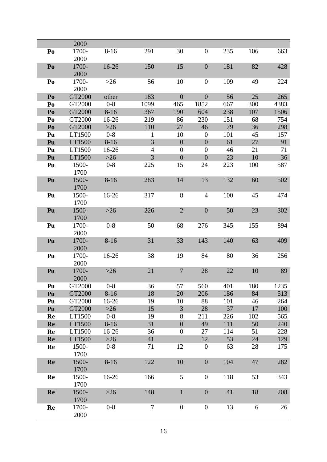|                | 2000          |           |                |                  |                  |     |     |      |
|----------------|---------------|-----------|----------------|------------------|------------------|-----|-----|------|
| Po             | 1700-<br>2000 | $8 - 16$  | 291            | 30               | $\boldsymbol{0}$ | 235 | 106 | 663  |
| Po             | 1700-<br>2000 | 16-26     | 150            | 15               | $\boldsymbol{0}$ | 181 | 82  | 428  |
| Po             | 1700-<br>2000 | $>26$     | 56             | 10               | $\boldsymbol{0}$ | 109 | 49  | 224  |
| Po             | GT2000        | other     | 183            | $\overline{0}$   | $\boldsymbol{0}$ | 56  | 25  | 265  |
| Po             | GT2000        | $0-8$     | 1099           | 465              | 1852             | 667 | 300 | 4383 |
| Po             | GT2000        | $8 - 16$  | 367            | 190              | 604              | 238 | 107 | 1506 |
| Po             | GT2000        | 16-26     | 219            | 86               | 230              | 151 | 68  | 754  |
| P <sub>0</sub> | GT2000        | $>26$     | 110            | 27               | 46               | 79  | 36  | 298  |
| Pu             | LT1500        | $0-8$     | 1              | 10               | $\theta$         | 101 | 45  | 157  |
| Pu             | LT1500        | $8 - 16$  | 3              | $\overline{0}$   | $\boldsymbol{0}$ | 61  | 27  | 91   |
| Pu             | LT1500        | $16-26$   | $\overline{4}$ | $\overline{0}$   | $\boldsymbol{0}$ | 46  | 21  | 71   |
| Pu             | LT1500        | $>26$     | 3              | $\overline{0}$   | $\boldsymbol{0}$ | 23  | 10  | 36   |
| Pu             | 1500-<br>1700 | $0 - 8$   | 225            | 15               | 24               | 223 | 100 | 587  |
| Pu             | 1500-<br>1700 | $8 - 16$  | 283            | 14               | 13               | 132 | 60  | 502  |
| Pu             | 1500-<br>1700 | $16 - 26$ | 317            | 8                | 4                | 100 | 45  | 474  |
| Pu             | 1500-<br>1700 | $>26$     | 226            | $\overline{2}$   | $\boldsymbol{0}$ | 50  | 23  | 302  |
| Pu             | 1700-<br>2000 | $0 - 8$   | 50             | 68               | 276              | 345 | 155 | 894  |
| Pu             | 1700-<br>2000 | $8 - 16$  | 31             | 33               | 143              | 140 | 63  | 409  |
| Pu             | 1700-<br>2000 | 16-26     | 38             | 19               | 84               | 80  | 36  | 256  |
| Pu             | 1700-<br>2000 | $>26$     | 21             | $\overline{7}$   | 28               | 22  | 10  | 89   |
| Pu             | GT2000        | $0 - 8$   | 36             | 57               | 560              | 401 | 180 | 1235 |
| Pu             | GT2000        | $8 - 16$  | 18             | 20               | 206              | 186 | 84  | 513  |
| Pu             | GT2000        | $16-26$   | 19             | 10               | 88               | 101 | 46  | 264  |
| Pu             | GT2000        | $>26$     | 15             | $\overline{3}$   | 28               | 37  | 17  | 100  |
| Re             | LT1500        | $0 - 8$   | 19             | 8                | 211              | 226 | 102 | 565  |
| Re             | LT1500        | $8-16$    | 31             | $\overline{0}$   | 49               | 111 | 50  | 240  |
| Re             | LT1500        | $16-26$   | 36             | $\overline{0}$   | 27               | 114 | 51  | 228  |
| Re             | LT1500        | $>26$     | 41             |                  | 12               | 53  | 24  | 129  |
| Re             | 1500-<br>1700 | $0 - 8$   | 71             | 12               | $\boldsymbol{0}$ | 63  | 28  | 175  |
| Re             | 1500-<br>1700 | $8-16$    | 122            | 10               | $\boldsymbol{0}$ | 104 | 47  | 282  |
| Re             | 1500-<br>1700 | 16-26     | 166            | 5                | $\boldsymbol{0}$ | 118 | 53  | 343  |
| Re             | 1500-<br>1700 | $>26$     | 148            | $\mathbf{1}$     | $\boldsymbol{0}$ | 41  | 18  | 208  |
| Re             | 1700-<br>2000 | $0 - 8$   | $\tau$         | $\boldsymbol{0}$ | $\boldsymbol{0}$ | 13  | 6   | 26   |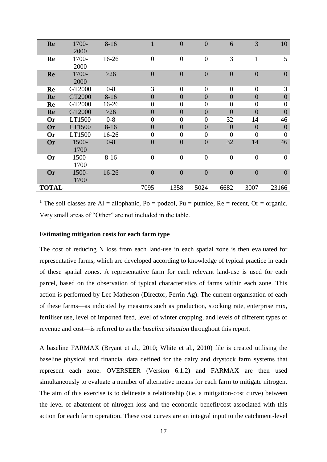| Re           | 1700-  | $8 - 16$ |                  | $\overline{0}$ | $\theta$         | 6              | 3              | 10             |
|--------------|--------|----------|------------------|----------------|------------------|----------------|----------------|----------------|
|              | 2000   |          |                  |                |                  |                |                |                |
| Re           | 1700-  | 16-26    | $\overline{0}$   | $\overline{0}$ | $\overline{0}$   | 3              | 1              | 5              |
|              | 2000   |          |                  |                |                  |                |                |                |
| Re           | 1700-  | $>26$    | $\boldsymbol{0}$ | $\overline{0}$ | $\boldsymbol{0}$ | $\overline{0}$ | $\overline{0}$ | $\overline{0}$ |
|              | 2000   |          |                  |                |                  |                |                |                |
| Re           | GT2000 | $0 - 8$  | 3                | $\theta$       | $\theta$         | $\theta$       | $\theta$       | 3              |
| Re           | GT2000 | $8-16$   | $\overline{0}$   | $\overline{0}$ | $\overline{0}$   | $\overline{0}$ | $\overline{0}$ | $\overline{0}$ |
| Re           | GT2000 | 16-26    | $\boldsymbol{0}$ | $\theta$       | $\boldsymbol{0}$ | $\theta$       | $\theta$       | $\overline{0}$ |
| Re           | GT2000 | $>26$    | $\overline{0}$   | $\overline{0}$ | $\overline{0}$   | $\overline{0}$ | $\overline{0}$ | $\overline{0}$ |
| <b>Or</b>    | LT1500 | $0 - 8$  | $\boldsymbol{0}$ | $\overline{0}$ | $\overline{0}$   | 32             | 14             | 46             |
| <b>Or</b>    | LT1500 | $8 - 16$ | $\overline{0}$   | $\overline{0}$ | $\overline{0}$   | $\overline{0}$ | $\overline{0}$ | $\overline{0}$ |
| <b>Or</b>    | LT1500 | 16-26    | $\boldsymbol{0}$ | $\overline{0}$ | $\overline{0}$   | $\overline{0}$ | $\theta$       | $\overline{0}$ |
| <b>Or</b>    | 1500-  | $0 - 8$  | $\boldsymbol{0}$ | $\overline{0}$ | $\boldsymbol{0}$ | 32             | 14             | 46             |
|              | 1700   |          |                  |                |                  |                |                |                |
| <b>Or</b>    | 1500-  | $8-16$   | $\overline{0}$   | $\overline{0}$ | $\mathbf{0}$     | $\overline{0}$ | $\overline{0}$ | $\overline{0}$ |
|              | 1700   |          |                  |                |                  |                |                |                |
| Or           | 1500-  | 16-26    | $\overline{0}$   | $\overline{0}$ | $\boldsymbol{0}$ | $\overline{0}$ | $\overline{0}$ | $\overline{0}$ |
|              | 1700   |          |                  |                |                  |                |                |                |
| <b>TOTAL</b> |        |          | 7095             | 1358           | 5024             | 6682           | 3007           | 23166          |

<sup>1</sup> The soil classes are Al = allophanic, Po = podzol, Pu = pumice, Re = recent, Or = organic. Very small areas of "Other" are not included in the table.

#### <span id="page-16-0"></span>**Estimating mitigation costs for each farm type**

The cost of reducing N loss from each land-use in each spatial zone is then evaluated for representative farms, which are developed according to knowledge of typical practice in each of these spatial zones. A representative farm for each relevant land-use is used for each parcel, based on the observation of typical characteristics of farms within each zone. This action is performed by Lee Matheson (Director, Perrin Ag). The current organisation of each of these farms—as indicated by measures such as production, stocking rate, enterprise mix, fertiliser use, level of imported feed, level of winter cropping, and levels of different types of revenue and cost—is referred to as the *baseline situation* throughout this report.

A baseline FARMAX (Bryant et al., 2010; White et al., 2010) file is created utilising the baseline physical and financial data defined for the dairy and drystock farm systems that represent each zone. OVERSEER (Version 6.1.2) and FARMAX are then used simultaneously to evaluate a number of alternative means for each farm to mitigate nitrogen. The aim of this exercise is to delineate a relationship (i.e. a mitigation-cost curve) between the level of abatement of nitrogen loss and the economic benefit/cost associated with this action for each farm operation. These cost curves are an integral input to the catchment-level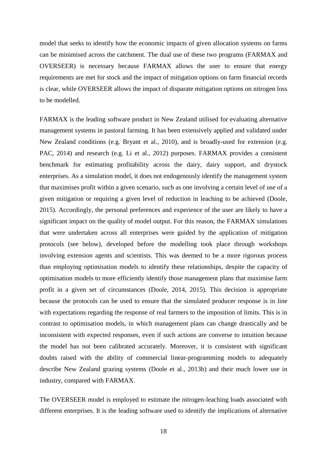model that seeks to identify how the economic impacts of given allocation systems on farms can be minimised across the catchment. The dual use of these two programs (FARMAX and OVERSEER) is necessary because FARMAX allows the user to ensure that energy requirements are met for stock and the impact of mitigation options on farm financial records is clear, while OVERSEER allows the impact of disparate mitigation options on nitrogen loss to be modelled.

FARMAX is the leading software product in New Zealand utilised for evaluating alternative management systems in pastoral farming. It has been extensively applied and validated under New Zealand conditions (e.g. Bryant et al., 2010), and is broadly-used for extension (e.g. PAC, 2014) and research (e.g. Li et al., 2012) purposes. FARMAX provides a consistent benchmark for estimating profitability across the dairy, dairy support, and drystock enterprises. As a simulation model, it does not endogenously identify the management system that maximises profit within a given scenario, such as one involving a certain level of use of a given mitigation or requiring a given level of reduction in leaching to be achieved (Doole, 2015). Accordingly, the personal preferences and experience of the user are likely to have a significant impact on the quality of model output. For this reason, the FARMAX simulations that were undertaken across all enterprises were guided by the application of mitigation protocols (see below), developed before the modelling took place through workshops involving extension agents and scientists. This was deemed to be a more rigorous process than employing optimisation models to identify these relationships, despite the capacity of optimisation models to more efficiently identify those management plans that maximise farm profit in a given set of circumstances (Doole, 2014, 2015). This decision is appropriate because the protocols can be used to ensure that the simulated producer response is in line with expectations regarding the response of real farmers to the imposition of limits. This is in contrast to optimisation models, in which management plans can change drastically and be inconsistent with expected responses, even if such actions are converse to intuition because the model has not been calibrated accurately. Moreover, it is consistent with significant doubts raised with the ability of commercial linear-programming models to adequately describe New Zealand grazing systems (Doole et al., 2013b) and their much lower use in industry, compared with FARMAX.

The OVERSEER model is employed to estimate the nitrogen-leaching loads associated with different enterprises. It is the leading software used to identify the implications of alternative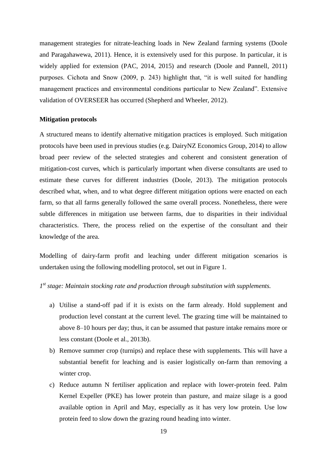management strategies for nitrate-leaching loads in New Zealand farming systems (Doole and Paragahawewa, 2011). Hence, it is extensively used for this purpose. In particular, it is widely applied for extension (PAC, 2014, 2015) and research (Doole and Pannell, 2011) purposes. Cichota and Snow (2009, p. 243) highlight that, "it is well suited for handling management practices and environmental conditions particular to New Zealand". Extensive validation of OVERSEER has occurred (Shepherd and Wheeler, 2012).

#### <span id="page-18-0"></span>**Mitigation protocols**

A structured means to identify alternative mitigation practices is employed. Such mitigation protocols have been used in previous studies (e.g. DairyNZ Economics Group, 2014) to allow broad peer review of the selected strategies and coherent and consistent generation of mitigation-cost curves, which is particularly important when diverse consultants are used to estimate these curves for different industries (Doole, 2013). The mitigation protocols described what, when, and to what degree different mitigation options were enacted on each farm, so that all farms generally followed the same overall process. Nonetheless, there were subtle differences in mitigation use between farms, due to disparities in their individual characteristics. There, the process relied on the expertise of the consultant and their knowledge of the area.

Modelling of dairy-farm profit and leaching under different mitigation scenarios is undertaken using the following modelling protocol, set out in Figure 1.

# *1 st stage: Maintain stocking rate and production through substitution with supplements.*

- a) Utilise a stand-off pad if it is exists on the farm already. Hold supplement and production level constant at the current level. The grazing time will be maintained to above 8–10 hours per day; thus, it can be assumed that pasture intake remains more or less constant (Doole et al., 2013b).
- b) Remove summer crop (turnips) and replace these with supplements. This will have a substantial benefit for leaching and is easier logistically on-farm than removing a winter crop.
- c) Reduce autumn N fertiliser application and replace with lower-protein feed. Palm Kernel Expeller (PKE) has lower protein than pasture, and maize silage is a good available option in April and May, especially as it has very low protein. Use low protein feed to slow down the grazing round heading into winter.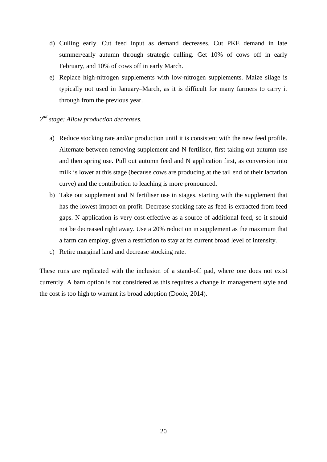- d) Culling early. Cut feed input as demand decreases. Cut PKE demand in late summer/early autumn through strategic culling. Get 10% of cows off in early February, and 10% of cows off in early March.
- e) Replace high-nitrogen supplements with low-nitrogen supplements. Maize silage is typically not used in January–March, as it is difficult for many farmers to carry it through from the previous year.

# *2 nd stage: Allow production decreases.*

- a) Reduce stocking rate and/or production until it is consistent with the new feed profile. Alternate between removing supplement and N fertiliser, first taking out autumn use and then spring use. Pull out autumn feed and N application first, as conversion into milk is lower at this stage (because cows are producing at the tail end of their lactation curve) and the contribution to leaching is more pronounced.
- b) Take out supplement and N fertiliser use in stages, starting with the supplement that has the lowest impact on profit. Decrease stocking rate as feed is extracted from feed gaps. N application is very cost-effective as a source of additional feed, so it should not be decreased right away. Use a 20% reduction in supplement as the maximum that a farm can employ, given a restriction to stay at its current broad level of intensity.
- c) Retire marginal land and decrease stocking rate.

These runs are replicated with the inclusion of a stand-off pad, where one does not exist currently. A barn option is not considered as this requires a change in management style and the cost is too high to warrant its broad adoption (Doole, 2014).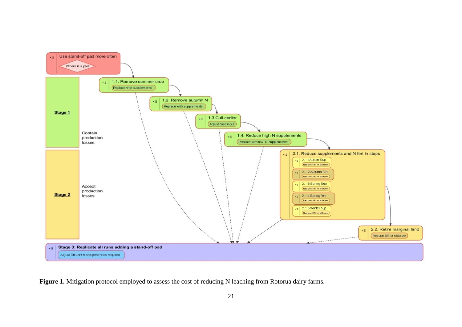

Figure 1. Mitigation protocol employed to assess the cost of reducing N leaching from Rotorua dairy farms.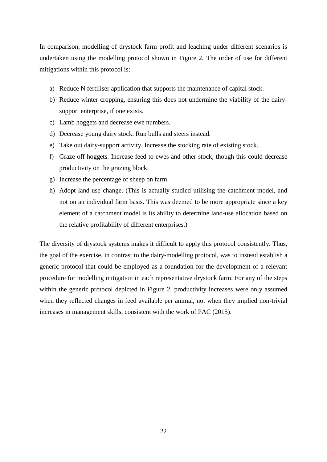In comparison, modelling of drystock farm profit and leaching under different scenarios is undertaken using the modelling protocol shown in Figure 2. The order of use for different mitigations within this protocol is:

- a) Reduce N fertiliser application that supports the maintenance of capital stock.
- b) Reduce winter cropping, ensuring this does not undermine the viability of the dairysupport enterprise, if one exists.
- c) Lamb hoggets and decrease ewe numbers.
- d) Decrease young dairy stock. Run bulls and steers instead.
- e) Take out dairy-support activity. Increase the stocking rate of existing stock.
- f) Graze off hoggets. Increase feed to ewes and other stock, though this could decrease productivity on the grazing block.
- g) Increase the percentage of sheep on farm.
- h) Adopt land-use change. (This is actually studied utilising the catchment model, and not on an individual farm basis. This was deemed to be more appropriate since a key element of a catchment model is its ability to determine land-use allocation based on the relative profitability of different enterprises.)

The diversity of drystock systems makes it difficult to apply this protocol consistently. Thus, the goal of the exercise, in contrast to the dairy-modelling protocol, was to instead establish a generic protocol that could be employed as a foundation for the development of a relevant procedure for modelling mitigation in each representative drystock farm. For any of the steps within the generic protocol depicted in Figure 2, productivity increases were only assumed when they reflected changes in feed available per animal, not when they implied non-trivial increases in management skills, consistent with the work of PAC (2015).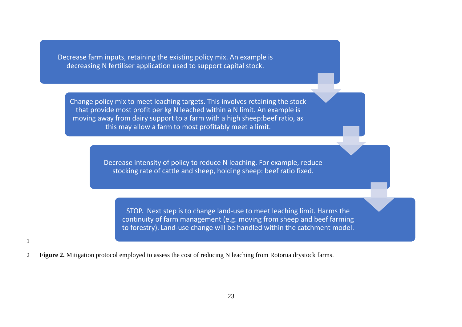Decrease farm inputs, retaining the existing policy mix. An example is decreasing N fertiliser application used to support capital stock.

Change policy mix to meet leaching targets. This involves retaining the stock that provide most profit per kg N leached within a N limit. An example is moving away from dairy support to a farm with a high sheep:beef ratio, as this may allow a farm to most profitably meet a limit.

> Decrease intensity of policy to reduce N leaching. For example, reduce stocking rate of cattle and sheep, holding sheep: beef ratio fixed.

STOP. Next step is to change land-use to meet leaching limit. Harms the continuity of farm management (e.g. moving from sheep and beef farming to forestry). Land-use change will be handled within the catchment model.

2 **Figure 2.** Mitigation protocol employed to assess the cost of reducing N leaching from Rotorua drystock farms.

1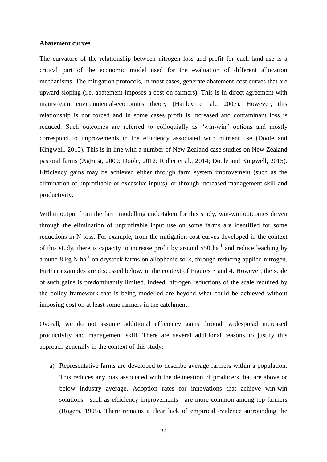#### <span id="page-23-0"></span>**Abatement curves**

The curvature of the relationship between nitrogen loss and profit for each land-use is a critical part of the economic model used for the evaluation of different allocation mechanisms. The mitigation protocols, in most cases, generate abatement-cost curves that are upward sloping (i.e. abatement imposes a cost on farmers). This is in direct agreement with mainstream environmental-economics theory (Hanley et al., 2007). However, this relationship is not forced and in some cases profit is increased and contaminant loss is reduced. Such outcomes are referred to colloquially as "win-win" options and mostly correspond to improvements in the efficiency associated with nutrient use (Doole and Kingwell, 2015). This is in line with a number of New Zealand case studies on New Zealand pastoral farms (AgFirst, 2009; Doole, 2012; Ridler et al., 2014; Doole and Kingwell, 2015). Efficiency gains may be achieved either through farm system improvement (such as the elimination of unprofitable or excessive inputs), or through increased management skill and productivity.

Within output from the farm modelling undertaken for this study, win-win outcomes driven through the elimination of unprofitable input use on some farms are identified for some reductions in N loss. For example, from the mitigation-cost curves developed in the context of this study, there is capacity to increase profit by around \$50 ha<sup>-1</sup> and reduce leaching by around 8 kg N ha<sup>-1</sup> on drystock farms on allophanic soils, through reducing applied nitrogen. Further examples are discussed below, in the context of Figures 3 and 4. However, the scale of such gains is predominantly limited. Indeed, nitrogen reductions of the scale required by the policy framework that is being modelled are beyond what could be achieved without imposing cost on at least some farmers in the catchment.

Overall, we do not assume additional efficiency gains through widespread increased productivity and management skill. There are several additional reasons to justify this approach generally in the context of this study:

a) Representative farms are developed to describe average farmers within a population. This reduces any bias associated with the delineation of producers that are above or below industry average. Adoption rates for innovations that achieve win-win solutions—such as efficiency improvements—are more common among top farmers (Rogers, 1995). There remains a clear lack of empirical evidence surrounding the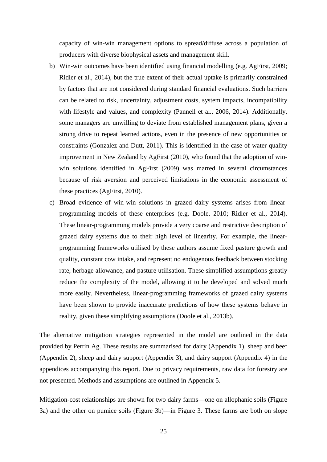capacity of win-win management options to spread/diffuse across a population of producers with diverse biophysical assets and management skill.

- b) Win-win outcomes have been identified using financial modelling (e.g. AgFirst, 2009; Ridler et al., 2014), but the true extent of their actual uptake is primarily constrained by factors that are not considered during standard financial evaluations. Such barriers can be related to risk, uncertainty, adjustment costs, system impacts, incompatibility with lifestyle and values, and complexity (Pannell et al., 2006, 2014). Additionally, some managers are unwilling to deviate from established management plans, given a strong drive to repeat learned actions, even in the presence of new opportunities or constraints (Gonzalez and Dutt, 2011). This is identified in the case of water quality improvement in New Zealand by AgFirst (2010), who found that the adoption of winwin solutions identified in AgFirst (2009) was marred in several circumstances because of risk aversion and perceived limitations in the economic assessment of these practices (AgFirst, 2010).
- c) Broad evidence of win-win solutions in grazed dairy systems arises from linearprogramming models of these enterprises (e.g. Doole, 2010; Ridler et al., 2014). These linear-programming models provide a very coarse and restrictive description of grazed dairy systems due to their high level of linearity. For example, the linearprogramming frameworks utilised by these authors assume fixed pasture growth and quality, constant cow intake, and represent no endogenous feedback between stocking rate, herbage allowance, and pasture utilisation. These simplified assumptions greatly reduce the complexity of the model, allowing it to be developed and solved much more easily. Nevertheless, linear-programming frameworks of grazed dairy systems have been shown to provide inaccurate predictions of how these systems behave in reality, given these simplifying assumptions (Doole et al., 2013b).

The alternative mitigation strategies represented in the model are outlined in the data provided by Perrin Ag. These results are summarised for dairy (Appendix 1), sheep and beef (Appendix 2), sheep and dairy support (Appendix 3), and dairy support (Appendix 4) in the appendices accompanying this report. Due to privacy requirements, raw data for forestry are not presented. Methods and assumptions are outlined in Appendix 5.

Mitigation-cost relationships are shown for two dairy farms—one on allophanic soils (Figure 3a) and the other on pumice soils (Figure 3b)—in Figure 3. These farms are both on slope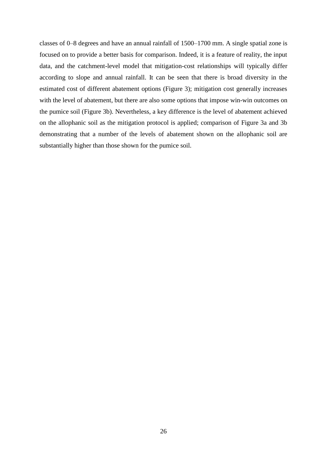classes of 0–8 degrees and have an annual rainfall of 1500–1700 mm. A single spatial zone is focused on to provide a better basis for comparison. Indeed, it is a feature of reality, the input data, and the catchment-level model that mitigation-cost relationships will typically differ according to slope and annual rainfall. It can be seen that there is broad diversity in the estimated cost of different abatement options (Figure 3); mitigation cost generally increases with the level of abatement, but there are also some options that impose win-win outcomes on the pumice soil (Figure 3b). Nevertheless, a key difference is the level of abatement achieved on the allophanic soil as the mitigation protocol is applied; comparison of Figure 3a and 3b demonstrating that a number of the levels of abatement shown on the allophanic soil are substantially higher than those shown for the pumice soil.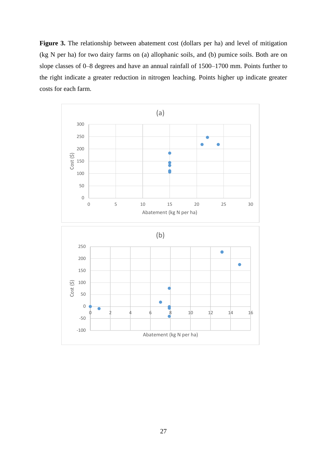Figure 3. The relationship between abatement cost (dollars per ha) and level of mitigation (kg N per ha) for two dairy farms on (a) allophanic soils, and (b) pumice soils. Both are on slope classes of 0–8 degrees and have an annual rainfall of 1500–1700 mm. Points further to the right indicate a greater reduction in nitrogen leaching. Points higher up indicate greater costs for each farm.

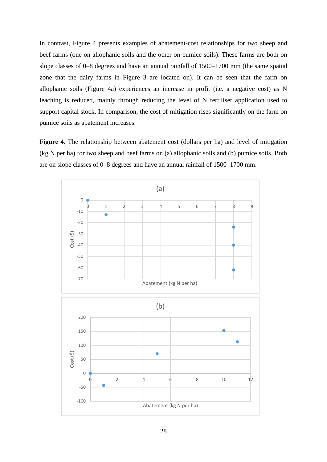In contrast, Figure 4 presents examples of abatement-cost relationships for two sheep and beef farms (one on allophanic soils and the other on pumice soils). These farms are both on slope classes of 0–8 degrees and have an annual rainfall of 1500–1700 mm (the same spatial zone that the dairy farms in Figure 3 are located on). It can be seen that the farm on allophanic soils (Figure 4a) experiences an increase in profit (i.e. a negative cost) as N leaching is reduced, mainly through reducing the level of N fertiliser application used to support capital stock. In comparison, the cost of mitigation rises significantly on the farm on pumice soils as abatement increases.

**Figure 4.** The relationship between abatement cost (dollars per ha) and level of mitigation (kg N per ha) for two sheep and beef farms on (a) allophanic soils and (b) pumice soils. Both are on slope classes of 0–8 degrees and have an annual rainfall of 1500–1700 mm.

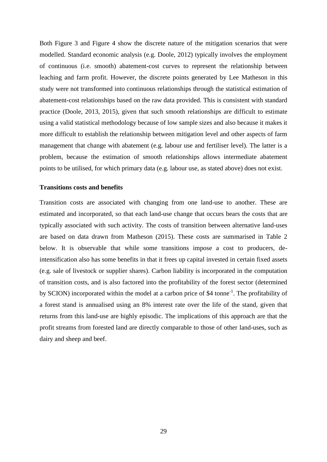Both Figure 3 and Figure 4 show the discrete nature of the mitigation scenarios that were modelled. Standard economic analysis (e.g. Doole, 2012) typically involves the employment of continuous (i.e. smooth) abatement-cost curves to represent the relationship between leaching and farm profit. However, the discrete points generated by Lee Matheson in this study were not transformed into continuous relationships through the statistical estimation of abatement-cost relationships based on the raw data provided. This is consistent with standard practice (Doole, 2013, 2015), given that such smooth relationships are difficult to estimate using a valid statistical methodology because of low sample sizes and also because it makes it more difficult to establish the relationship between mitigation level and other aspects of farm management that change with abatement (e.g. labour use and fertiliser level). The latter is a problem, because the estimation of smooth relationships allows intermediate abatement points to be utilised, for which primary data (e.g. labour use, as stated above) does not exist.

#### <span id="page-28-0"></span>**Transitions costs and benefits**

Transition costs are associated with changing from one land-use to another. These are estimated and incorporated, so that each land-use change that occurs bears the costs that are typically associated with such activity. The costs of transition between alternative land-uses are based on data drawn from Matheson (2015). These costs are summarised in Table 2 below. It is observable that while some transitions impose a cost to producers, deintensification also has some benefits in that it frees up capital invested in certain fixed assets (e.g. sale of livestock or supplier shares). Carbon liability is incorporated in the computation of transition costs, and is also factored into the profitability of the forest sector (determined by SCION) incorporated within the model at a carbon price of \$4 tonne<sup>-1</sup>. The profitability of a forest stand is annualised using an 8% interest rate over the life of the stand, given that returns from this land-use are highly episodic. The implications of this approach are that the profit streams from forested land are directly comparable to those of other land-uses, such as dairy and sheep and beef.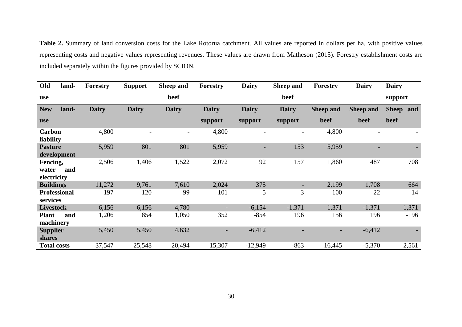**Table 2.** Summary of land conversion costs for the Lake Rotorua catchment. All values are reported in dollars per ha, with positive values representing costs and negative values representing revenues. These values are drawn from Matheson (2015). Forestry establishment costs are included separately within the figures provided by SCION.

| Old                              | land- | Forestry     | <b>Support</b> | Sheep and                | <b>Forestry</b> | <b>Dairy</b>             | Sheep and    | <b>Forestry</b>  | <b>Dairy</b>             | <b>Dairy</b> |
|----------------------------------|-------|--------------|----------------|--------------------------|-----------------|--------------------------|--------------|------------------|--------------------------|--------------|
| use                              |       |              |                | beef                     |                 |                          | beef         |                  |                          | support      |
| <b>New</b>                       | land- | <b>Dairy</b> | <b>Dairy</b>   | <b>Dairy</b>             | <b>Dairy</b>    | <b>Dairy</b>             | <b>Dairy</b> | <b>Sheep and</b> | <b>Sheep and</b>         | Sheep and    |
| <b>use</b>                       |       |              |                |                          | support         | support                  | support      | beef             | beef                     | beef         |
| <b>Carbon</b><br>liability       |       | 4,800        |                | $\overline{\phantom{a}}$ | 4,800           | $\overline{\phantom{a}}$ |              | 4,800            | $\overline{\phantom{a}}$ |              |
| <b>Pasture</b><br>development    |       | 5,959        | 801            | 801                      | 5,959           | -                        | 153          | 5,959            |                          |              |
| Fencing,<br>water<br>electricity | and   | 2,506        | 1,406          | 1,522                    | 2,072           | 92                       | 157          | 1,860            | 487                      | 708          |
| <b>Buildings</b>                 |       | 11,272       | 9,761          | 7,610                    | 2,024           | 375                      |              | 2,199            | 1,708                    | 664          |
| <b>Professional</b><br>services  |       | 197          | 120            | 99                       | 101             | 5                        | 3            | 100              | 22                       | 14           |
| <b>Livestock</b>                 |       | 6,156        | 6,156          | 4,780                    |                 | $-6,154$                 | $-1,371$     | 1,371            | $-1,371$                 | 1,371        |
| <b>Plant</b><br>machinery        | and   | 1,206        | 854            | 1,050                    | 352             | $-854$                   | 196          | 156              | 196                      | $-196$       |
| <b>Supplier</b><br>shares        |       | 5,450        | 5,450          | 4,632                    |                 | $-6,412$                 |              |                  | $-6,412$                 |              |
| <b>Total costs</b>               |       | 37,547       | 25,548         | 20,494                   | 15,307          | $-12,949$                | $-863$       | 16,445           | $-5,370$                 | 2,561        |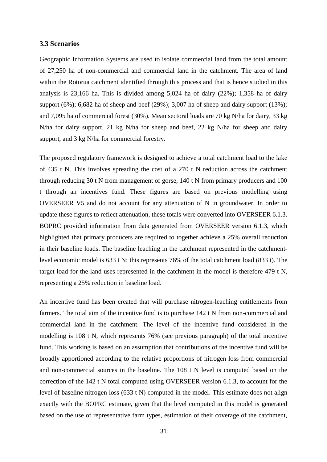#### <span id="page-30-0"></span>**3.3 Scenarios**

Geographic Information Systems are used to isolate commercial land from the total amount of 27,250 ha of non-commercial and commercial land in the catchment. The area of land within the Rotorua catchment identified through this process and that is hence studied in this analysis is 23,166 ha. This is divided among 5,024 ha of dairy (22%); 1,358 ha of dairy support (6%); 6,682 ha of sheep and beef (29%); 3,007 ha of sheep and dairy support (13%); and 7,095 ha of commercial forest (30%). Mean sectoral loads are 70 kg N/ha for dairy, 33 kg N/ha for dairy support, 21 kg N/ha for sheep and beef, 22 kg N/ha for sheep and dairy support, and 3 kg N/ha for commercial forestry.

The proposed regulatory framework is designed to achieve a total catchment load to the lake of 435 t N. This involves spreading the cost of a 270 t N reduction across the catchment through reducing 30 t N from management of gorse, 140 t N from primary producers and 100 t through an incentives fund. These figures are based on previous modelling using OVERSEER V5 and do not account for any attenuation of N in groundwater. In order to update these figures to reflect attenuation, these totals were converted into OVERSEER 6.1.3. BOPRC provided information from data generated from OVERSEER version 6.1.3, which highlighted that primary producers are required to together achieve a 25% overall reduction in their baseline loads. The baseline leaching in the catchment represented in the catchmentlevel economic model is 633 t N; this represents 76% of the total catchment load (833 t). The target load for the land-uses represented in the catchment in the model is therefore 479 t N, representing a 25% reduction in baseline load.

An incentive fund has been created that will purchase nitrogen-leaching entitlements from farmers. The total aim of the incentive fund is to purchase 142 t N from non-commercial and commercial land in the catchment. The level of the incentive fund considered in the modelling is 108 t N, which represents 76% (see previous paragraph) of the total incentive fund. This working is based on an assumption that contributions of the incentive fund will be broadly apportioned according to the relative proportions of nitrogen loss from commercial and non-commercial sources in the baseline. The 108 t N level is computed based on the correction of the 142 t N total computed using OVERSEER version 6.1.3, to account for the level of baseline nitrogen loss (633 t N) computed in the model. This estimate does not align exactly with the BOPRC estimate, given that the level computed in this model is generated based on the use of representative farm types, estimation of their coverage of the catchment,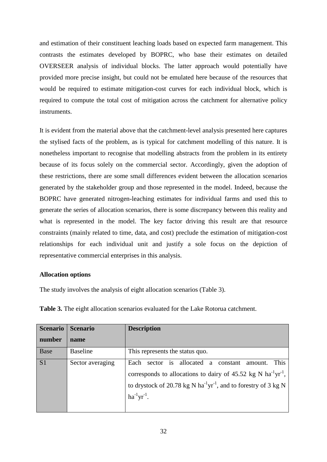and estimation of their constituent leaching loads based on expected farm management. This contrasts the estimates developed by BOPRC, who base their estimates on detailed OVERSEER analysis of individual blocks. The latter approach would potentially have provided more precise insight, but could not be emulated here because of the resources that would be required to estimate mitigation-cost curves for each individual block, which is required to compute the total cost of mitigation across the catchment for alternative policy instruments.

It is evident from the material above that the catchment-level analysis presented here captures the stylised facts of the problem, as is typical for catchment modelling of this nature. It is nonetheless important to recognise that modelling abstracts from the problem in its entirety because of its focus solely on the commercial sector. Accordingly, given the adoption of these restrictions, there are some small differences evident between the allocation scenarios generated by the stakeholder group and those represented in the model. Indeed, because the BOPRC have generated nitrogen-leaching estimates for individual farms and used this to generate the series of allocation scenarios, there is some discrepancy between this reality and what is represented in the model. The key factor driving this result are that resource constraints (mainly related to time, data, and cost) preclude the estimation of mitigation-cost relationships for each individual unit and justify a sole focus on the depiction of representative commercial enterprises in this analysis.

#### <span id="page-31-0"></span>**Allocation options**

The study involves the analysis of eight allocation scenarios (Table 3).

| <b>Scenario</b> | <b>Scenario</b>  | <b>Description</b>                                                                                                                                                                                                                                               |
|-----------------|------------------|------------------------------------------------------------------------------------------------------------------------------------------------------------------------------------------------------------------------------------------------------------------|
| number          | name             |                                                                                                                                                                                                                                                                  |
| <b>Base</b>     | <b>Baseline</b>  | This represents the status quo.                                                                                                                                                                                                                                  |
| S <sub>1</sub>  | Sector averaging | Each sector is allocated a constant<br>This<br>amount.<br>corresponds to allocations to dairy of 45.52 kg N ha <sup>-1</sup> yr <sup>-1</sup> ,<br>to drystock of 20.78 kg N ha <sup>-1</sup> yr <sup>-1</sup> , and to forestry of 3 kg N<br>$ha^{-1}yr^{-1}$ . |

**Table 3.** The eight allocation scenarios evaluated for the Lake Rotorua catchment.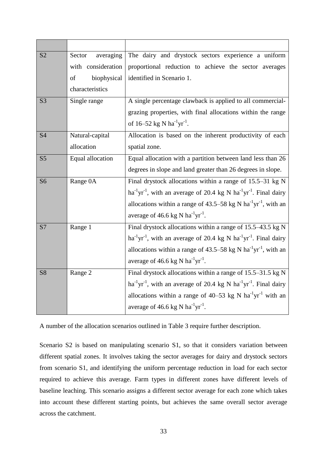| S <sub>2</sub> | Sector<br>averaging | The dairy and drystock sectors experience a uniform                                  |
|----------------|---------------------|--------------------------------------------------------------------------------------|
|                | with consideration  | proportional reduction to achieve the sector averages                                |
|                | biophysical<br>of   | identified in Scenario 1.                                                            |
|                | characteristics     |                                                                                      |
| S <sub>3</sub> | Single range        | A single percentage clawback is applied to all commercial-                           |
|                |                     | grazing properties, with final allocations within the range                          |
|                |                     | of $16-52$ kg N ha <sup>-1</sup> yr <sup>-1</sup> .                                  |
| <b>S4</b>      | Natural-capital     | Allocation is based on the inherent productivity of each                             |
|                | allocation          | spatial zone.                                                                        |
| S <sub>5</sub> | Equal allocation    | Equal allocation with a partition between land less than 26                          |
|                |                     | degrees in slope and land greater than 26 degrees in slope.                          |
| S <sub>6</sub> | Range 0A            | Final drystock allocations within a range of $15.5-31$ kg N                          |
|                |                     | $ha^{-1}yr^{-1}$ , with an average of 20.4 kg N $ha^{-1}yr^{-1}$ . Final dairy       |
|                |                     | allocations within a range of 43.5–58 kg N $ha^{-1}yr^{-1}$ , with an                |
|                |                     | average of 46.6 kg N ha <sup>-1</sup> yr <sup>-1</sup> .                             |
| S7             | Range 1             | Final drystock allocations within a range of 15.5–43.5 kg N                          |
|                |                     | $ha^{-1}yr^{-1}$ , with an average of 20.4 kg N $ha^{-1}yr^{-1}$ . Final dairy       |
|                |                     | allocations within a range of 43.5–58 kg N $ha^{-1}yr^{-1}$ , with an                |
|                |                     | average of 46.6 kg N $ha^{-1}yr^{-1}$ .                                              |
| <b>S8</b>      | Range 2             | Final drystock allocations within a range of 15.5-31.5 kg N                          |
|                |                     | $ha^{-1}yr^{-1}$ , with an average of 20.4 kg N $ha^{-1}yr^{-1}$ . Final dairy       |
|                |                     | allocations within a range of $40-53$ kg N ha <sup>-1</sup> yr <sup>-1</sup> with an |
|                |                     | average of 46.6 kg N ha <sup>-1</sup> yr <sup>-1</sup> .                             |

A number of the allocation scenarios outlined in Table 3 require further description.

Scenario S2 is based on manipulating scenario S1, so that it considers variation between different spatial zones. It involves taking the sector averages for dairy and drystock sectors from scenario S1, and identifying the uniform percentage reduction in load for each sector required to achieve this average. Farm types in different zones have different levels of baseline leaching. This scenario assigns a different sector average for each zone which takes into account these different starting points, but achieves the same overall sector average across the catchment.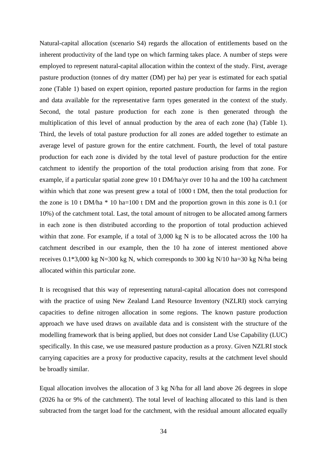Natural-capital allocation (scenario S4) regards the allocation of entitlements based on the inherent productivity of the land type on which farming takes place. A number of steps were employed to represent natural-capital allocation within the context of the study. First, average pasture production (tonnes of dry matter (DM) per ha) per year is estimated for each spatial zone (Table 1) based on expert opinion, reported pasture production for farms in the region and data available for the representative farm types generated in the context of the study. Second, the total pasture production for each zone is then generated through the multiplication of this level of annual production by the area of each zone (ha) (Table 1). Third, the levels of total pasture production for all zones are added together to estimate an average level of pasture grown for the entire catchment. Fourth, the level of total pasture production for each zone is divided by the total level of pasture production for the entire catchment to identify the proportion of the total production arising from that zone. For example, if a particular spatial zone grew 10 t DM/ha/yr over 10 ha and the 100 ha catchment within which that zone was present grew a total of 1000 t DM, then the total production for the zone is 10 t DM/ha \* 10 ha=100 t DM and the proportion grown in this zone is 0.1 (or 10%) of the catchment total. Last, the total amount of nitrogen to be allocated among farmers in each zone is then distributed according to the proportion of total production achieved within that zone. For example, if a total of 3,000 kg N is to be allocated across the 100 ha catchment described in our example, then the 10 ha zone of interest mentioned above receives  $0.1*3,000 \text{ kg}$  N=300 kg N, which corresponds to 300 kg N/10 ha=30 kg N/ha being allocated within this particular zone.

It is recognised that this way of representing natural-capital allocation does not correspond with the practice of using New Zealand Land Resource Inventory (NZLRI) stock carrying capacities to define nitrogen allocation in some regions. The known pasture production approach we have used draws on available data and is consistent with the structure of the modelling framework that is being applied, but does not consider Land Use Capability (LUC) specifically. In this case, we use measured pasture production as a proxy. Given NZLRI stock carrying capacities are a proxy for productive capacity, results at the catchment level should be broadly similar.

Equal allocation involves the allocation of 3 kg N/ha for all land above 26 degrees in slope (2026 ha or 9% of the catchment). The total level of leaching allocated to this land is then subtracted from the target load for the catchment, with the residual amount allocated equally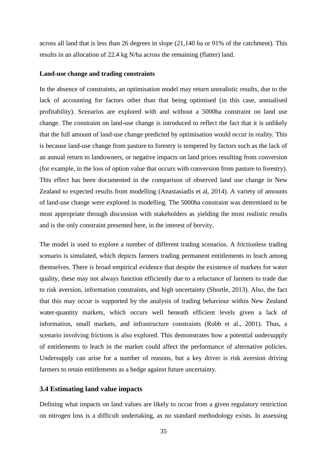across all land that is less than 26 degrees in slope (21,140 ha or 91% of the catchment). This results in an allocation of 22.4 kg N/ha across the remaining (flatter) land.

#### <span id="page-34-0"></span>**Land-use change and trading constraints**

In the absence of constraints, an optimisation model may return unrealistic results, due to the lack of accounting for factors other than that being optimised (in this case, annualised profitability). Scenarios are explored with and without a 5000ha constraint on land use change. The constraint on land-use change is introduced to reflect the fact that it is unlikely that the full amount of land-use change predicted by optimisation would occur in reality. This is because land-use change from pasture to forestry is tempered by factors such as the lack of an annual return to landowners, or negative impacts on land prices resulting from conversion (for example, in the loss of option value that occurs with conversion from pasture to forestry). This effect has been documented in the comparison of observed land use change in New Zealand to expected results from modelling (Anastasiadis et al, 2014). A variety of amounts of land-use change were explored in modelling. The 5000ha constraint was determined to be most appropriate through discussion with stakeholders as yielding the most realistic results and is the only constraint presented here, in the interest of brevity.

The model is used to explore a number of different trading scenarios. A frictionless trading scenario is simulated, which depicts farmers trading permanent entitlements to leach among themselves. There is broad empirical evidence that despite the existence of markets for water quality, these may not always function efficiently due to a reluctance of farmers to trade due to risk aversion, information constraints, and high uncertainty (Shortle, 2013). Also, the fact that this may occur is supported by the analysis of trading behaviour within New Zealand water-quantity markets, which occurs well beneath efficient levels given a lack of information, small markets, and infrastructure constraints (Robb et al., 2001). Thus, a scenario involving frictions is also explored. This demonstrates how a potential undersupply of entitlements to leach in the market could affect the performance of alternative policies. Undersupply can arise for a number of reasons, but a key driver is risk aversion driving farmers to retain entitlements as a hedge against future uncertainty.

### <span id="page-34-1"></span>**3.4 Estimating land value impacts**

Defining what impacts on land values are likely to occur from a given regulatory restriction on nitrogen loss is a difficult undertaking, as no standard methodology exists. In assessing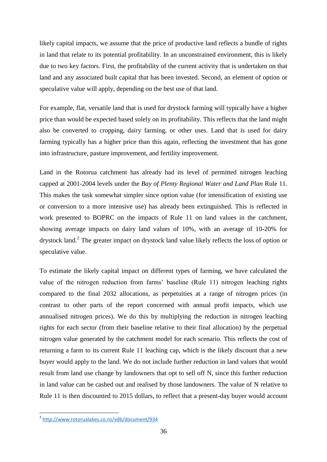likely capital impacts, we assume that the price of productive land reflects a bundle of rights in land that relate to its potential profitability. In an unconstrained environment, this is likely due to two key factors. First, the profitability of the current activity that is undertaken on that land and any associated built capital that has been invested. Second, an element of option or speculative value will apply, depending on the best use of that land.

For example, flat, versatile land that is used for drystock farming will typically have a higher price than would be expected based solely on its profitability. This reflects that the land might also be converted to cropping, dairy farming, or other uses. Land that is used for dairy farming typically has a higher price than this again, reflecting the investment that has gone into infrastructure, pasture improvement, and fertility improvement.

Land in the Rotorua catchment has already had its level of permitted nitrogen leaching capped at 2001-2004 levels under the *Bay of Plenty Regional Water and Land Plan* Rule 11. This makes the task somewhat simpler since option value (for intensification of existing use or conversion to a more intensive use) has already been extinguished. This is reflected in work presented to BOPRC on the impacts of Rule 11 on land values in the catchment, showing average impacts on dairy land values of 10%, with an average of 10-20% for drystock land.<sup>2</sup> The greater impact on drystock land value likely reflects the loss of option or speculative value.

To estimate the likely capital impact on different types of farming, we have calculated the value of the nitrogen reduction from farms' baseline (Rule 11) nitrogen leaching rights compared to the final 2032 allocations, as perpetuities at a range of nitrogen prices (in contrast to other parts of the report concerned with annual profit impacts, which use annualised nitrogen prices). We do this by multiplying the reduction in nitrogen leaching rights for each sector (from their baseline relative to their final allocation) by the perpetual nitrogen value generated by the catchment model for each scenario. This reflects the cost of returning a farm to its current Rule 11 leaching cap, which is the likely discount that a new buyer would apply to the land. We do not include further reduction in land values that would result from land use change by landowners that opt to sell off N, since this further reduction in land value can be cashed out and realised by those landowners. The value of N relative to Rule 11 is then discounted to 2015 dollars, to reflect that a present-day buyer would account

 2 <http://www.rotorualakes.co.nz/vdb/document/934>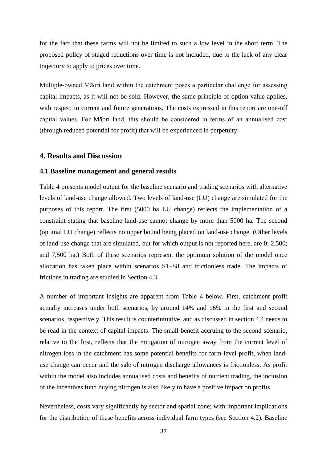for the fact that these farms will not be limited to such a low level in the short term. The proposed policy of staged reductions over time is not included, due to the lack of any clear trajectory to apply to prices over time.

Multiple-owned Māori land within the catchment poses a particular challenge for assessing capital impacts, as it will not be sold. However, the same principle of option value applies, with respect to current and future generations. The costs expressed in this report are one-off capital values. For Māori land, this should be considered in terms of an annualised cost (through reduced potential for profit) that will be experienced in perpetuity.

# <span id="page-36-0"></span>**4. Results and Discussion**

#### <span id="page-36-1"></span>**4.1 Baseline management and general results**

Table 4 presents model output for the baseline scenario and trading scenarios with alternative levels of land-use change allowed. Two levels of land-use (LU) change are simulated for the purposes of this report. The first (5000 ha LU change) reflects the implementation of a constraint stating that baseline land-use cannot change by more than 5000 ha. The second (optimal LU change) reflects no upper bound being placed on land-use change. (Other levels of land-use change that are simulated, but for which output is not reported here, are 0; 2,500; and 7,500 ha.) Both of these scenarios represent the optimum solution of the model once allocation has taken place within scenarios S1–S8 and frictionless trade. The impacts of frictions in trading are studied in Section 4.3.

A number of important insights are apparent from Table 4 below. First, catchment profit actually increases under both scenarios, by around 14% and 16% in the first and second scenarios, respectively. This result is counterintuitive, and as discussed in section 4.4 needs to be read in the context of capital impacts. The small benefit accruing to the second scenario, relative to the first, reflects that the mitigation of nitrogen away from the current level of nitrogen loss in the catchment has some potential benefits for farm-level profit, when landuse change can occur and the sale of nitrogen discharge allowances is frictionless. As profit within the model also includes annualised costs and benefits of nutrient trading, the inclusion of the incentives fund buying nitrogen is also likely to have a positive impact on profits.

Nevertheless, costs vary significantly by sector and spatial zone; with important implications for the distribution of these benefits across individual farm types (see Section 4.2). Baseline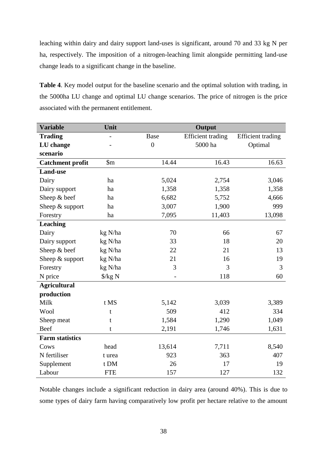leaching within dairy and dairy support land-uses is significant, around 70 and 33 kg N per ha, respectively. The imposition of a nitrogen-leaching limit alongside permitting land-use change leads to a significant change in the baseline.

**Table 4**. Key model output for the baseline scenario and the optimal solution with trading, in the 5000ha LU change and optimal LU change scenarios. The price of nitrogen is the price associated with the permanent entitlement.

| <b>Variable</b>         | Unit                   |                | Output                   |                          |
|-------------------------|------------------------|----------------|--------------------------|--------------------------|
| <b>Trading</b>          |                        | <b>Base</b>    | <b>Efficient</b> trading | <b>Efficient</b> trading |
| LU change               |                        | $\overline{0}$ | 5000 ha                  | Optimal                  |
| scenario                |                        |                |                          |                          |
| <b>Catchment profit</b> | $\mathop{\mathrm{Sm}}$ | 14.44          | 16.43                    | 16.63                    |
| <b>Land-use</b>         |                        |                |                          |                          |
| Dairy                   | ha                     | 5,024          | 2,754                    | 3,046                    |
| Dairy support           | ha                     | 1,358          | 1,358                    | 1,358                    |
| Sheep & beef            | ha                     | 6,682          | 5,752                    | 4,666                    |
| Sheep $&$ support       | ha                     | 3,007          | 1,900                    | 999                      |
| Forestry                | ha                     | 7,095          | 11,403                   | 13,098                   |
| <b>Leaching</b>         |                        |                |                          |                          |
| Dairy                   | kg N/ha                | 70             | 66                       | 67                       |
| Dairy support           | kg N/ha                | 33             | 18                       | 20                       |
| Sheep & beef            | kg N/ha                | 22             | 21                       | 13                       |
| Sheep $&$ support       | kg N/ha                | 21             | 16                       | 19                       |
| Forestry                | kg N/ha                | 3              | 3                        | 3                        |
| N price                 | $\frac{\sqrt{2}}{2}$ N |                | 118                      | 60                       |
| <b>Agricultural</b>     |                        |                |                          |                          |
| production              |                        |                |                          |                          |
| Milk                    | t MS                   | 5,142          | 3,039                    | 3,389                    |
| Wool                    | t                      | 509            | 412                      | 334                      |
| Sheep meat              | $\mathbf t$            | 1,584          | 1,290                    | 1,049                    |
| Beef                    | t                      | 2,191          | 1,746                    | 1,631                    |
| <b>Farm statistics</b>  |                        |                |                          |                          |
| Cows                    | head                   | 13,614         | 7,711                    | 8,540                    |
| N fertiliser            | t urea                 | 923            | 363                      | 407                      |
| Supplement              | t DM                   | 26             | 17                       | 19                       |
| Labour                  | <b>FTE</b>             | 157            | 127                      | 132                      |

Notable changes include a significant reduction in dairy area (around 40%). This is due to some types of dairy farm having comparatively low profit per hectare relative to the amount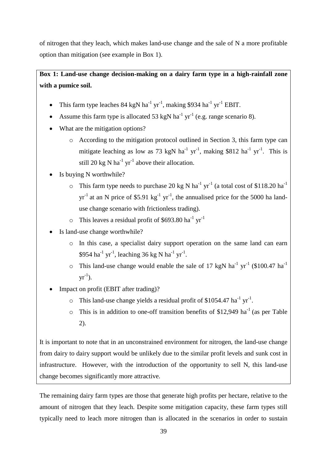of nitrogen that they leach, which makes land-use change and the sale of N a more profitable option than mitigation (see example in Box 1).

# **Box 1: Land-use change decision-making on a dairy farm type in a high-rainfall zone with a pumice soil.**

- This farm type leaches 84 kgN ha<sup>-1</sup> yr<sup>-1</sup>, making \$934 ha<sup>-1</sup> yr<sup>-1</sup> EBIT.
- Assume this farm type is allocated 53 kgN ha<sup>-1</sup> yr<sup>-1</sup> (e.g. range scenario 8).
- What are the mitigation options?
	- o According to the mitigation protocol outlined in Section 3, this farm type can mitigate leaching as low as 73 kgN  $ha^{-1}$  yr<sup>-1</sup>, making \$812  $ha^{-1}$  yr<sup>-1</sup>. This is still 20 kg N ha<sup>-1</sup> yr<sup>-1</sup> above their allocation.
- Is buying N worthwhile?
	- $\circ$  This farm type needs to purchase 20 kg N ha<sup>-1</sup> yr<sup>-1</sup> (a total cost of \$118.20 ha<sup>-1</sup>  $yr^{-1}$  at an N price of \$5.91 kg<sup>-1</sup> yr<sup>-1</sup>, the annualised price for the 5000 ha landuse change scenario with frictionless trading).
	- $\circ$  This leaves a residual profit of \$693.80 ha<sup>-1</sup> yr<sup>-1</sup>
- Is land-use change worthwhile?
	- o In this case, a specialist dairy support operation on the same land can earn \$954 ha<sup>-1</sup> yr<sup>-1</sup>, leaching 36 kg N ha<sup>-1</sup> yr<sup>-1</sup>.
	- $\circ$  This land-use change would enable the sale of 17 kgN ha<sup>-1</sup> yr<sup>-1</sup> (\$100.47 ha<sup>-1</sup>)  $yr^{-1}$ ).
- Impact on profit (EBIT after trading)?
	- $\circ$  This land-use change yields a residual profit of \$1054.47 ha<sup>-1</sup> yr<sup>-1</sup>.
	- $\circ$  This is in addition to one-off transition benefits of \$12,949 ha<sup>-1</sup> (as per Table 2).

It is important to note that in an unconstrained environment for nitrogen, the land-use change from dairy to dairy support would be unlikely due to the similar profit levels and sunk cost in infrastructure. However, with the introduction of the opportunity to sell N, this land-use change becomes significantly more attractive.

The remaining dairy farm types are those that generate high profits per hectare, relative to the amount of nitrogen that they leach. Despite some mitigation capacity, these farm types still typically need to leach more nitrogen than is allocated in the scenarios in order to sustain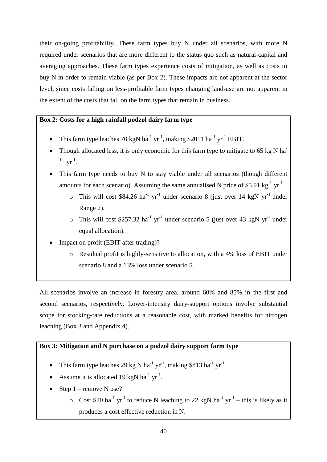their on-going profitability. These farm types buy N under all scenarios, with more N required under scenarios that are more different to the status quo such as natural-capital and averaging approaches. These farm types experience costs of mitigation, as well as costs to buy N in order to remain viable (as per Box 2). These impacts are not apparent at the sector level, since costs falling on less-profitable farm types changing land-use are not apparent in the extent of the costs that fall on the farm types that remain in business.

# **Box 2: Costs for a high rainfall podzol dairy farm type**

- This farm type leaches 70 kgN ha<sup>-1</sup> yr<sup>-1</sup>, making \$2011 ha<sup>-1</sup> yr<sup>-1</sup> EBIT.
- Though allocated less, it is only economic for this farm type to mitigate to 65 kg N ha<sup>-</sup>  $^{1}$  yr<sup>-1</sup>.
- This farm type needs to buy N to stay viable under all scenarios (though different amounts for each scenario). Assuming the same annualised N price of \$5.91 kg<sup>-1</sup>  $yr^{-1}$ 
	- $\circ$  This will cost \$84.26 ha<sup>-1</sup> yr<sup>-1</sup> under scenario 8 (just over 14 kgN yr<sup>-1</sup> under Range 2).
	- $\circ$  This will cost \$257.32 ha<sup>-1</sup> yr<sup>-1</sup> under scenario 5 (just over 43 kgN yr<sup>-1</sup> under equal allocation).
- Impact on profit (EBIT after trading)?
	- o Residual profit is highly-sensitive to allocation, with a 4% loss of EBIT under scenario 8 and a 13% loss under scenario 5.

All scenarios involve an increase in forestry area, around 60% and 85% in the first and second scenarios, respectively. Lower-intensity dairy-support options involve substantial scope for stocking-rate reductions at a reasonable cost, with marked benefits for nitrogen leaching (Box 3 and Appendix 4).

# **Box 3: Mitigation and N purchase on a podzol dairy support farm type**

- This farm type leaches 29 kg N ha<sup>-1</sup> yr<sup>-1</sup>, making \$813 ha<sup>-1</sup> yr<sup>-1</sup>
- Assume it is allocated 19 kgN ha<sup>-1</sup> yr<sup>-1</sup>.
- Step 1 remove N use?
	- $\circ$  Cost \$20 ha<sup>-1</sup> yr<sup>-1</sup> to reduce N leaching to 22 kgN ha<sup>-1</sup> yr<sup>-1</sup> this is likely as it produces a cost effective reduction in N.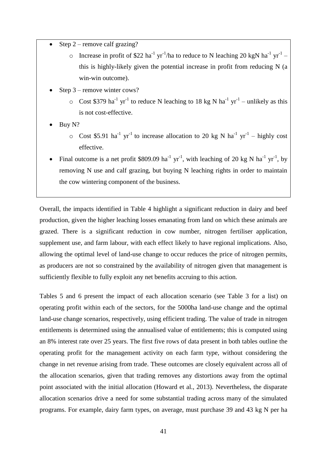- Step  $2$  remove calf grazing?
	- $\circ$  Increase in profit of \$22 ha<sup>-1</sup> yr<sup>-1</sup>/ha to reduce to N leaching 20 kgN ha<sup>-1</sup> yr<sup>-1</sup> this is highly-likely given the potential increase in profit from reducing N (a win-win outcome).
- Step 3 remove winter cows?
	- $\circ$  Cost \$379 ha<sup>-1</sup> yr<sup>-1</sup> to reduce N leaching to 18 kg N ha<sup>-1</sup> yr<sup>-1</sup> unlikely as this is not cost-effective.
- Buy N?
	- $\circ$  Cost \$5.91 ha<sup>-1</sup> yr<sup>-1</sup> to increase allocation to 20 kg N ha<sup>-1</sup> yr<sup>-1</sup> highly cost effective.
- Final outcome is a net profit \$809.09 ha<sup>-1</sup> yr<sup>-1</sup>, with leaching of 20 kg N ha<sup>-1</sup> yr<sup>-1</sup>, by removing N use and calf grazing, but buying N leaching rights in order to maintain the cow wintering component of the business.

Overall, the impacts identified in Table 4 highlight a significant reduction in dairy and beef production, given the higher leaching losses emanating from land on which these animals are grazed. There is a significant reduction in cow number, nitrogen fertiliser application, supplement use, and farm labour, with each effect likely to have regional implications. Also, allowing the optimal level of land-use change to occur reduces the price of nitrogen permits, as producers are not so constrained by the availability of nitrogen given that management is sufficiently flexible to fully exploit any net benefits accruing to this action.

Tables 5 and 6 present the impact of each allocation scenario (see Table 3 for a list) on operating profit within each of the sectors, for the 5000ha land-use change and the optimal land-use change scenarios, respectively, using efficient trading. The value of trade in nitrogen entitlements is determined using the annualised value of entitlements; this is computed using an 8% interest rate over 25 years. The first five rows of data present in both tables outline the operating profit for the management activity on each farm type, without considering the change in net revenue arising from trade. These outcomes are closely equivalent across all of the allocation scenarios, given that trading removes any distortions away from the optimal point associated with the initial allocation (Howard et al., 2013). Nevertheless, the disparate allocation scenarios drive a need for some substantial trading across many of the simulated programs. For example, dairy farm types, on average, must purchase 39 and 43 kg N per ha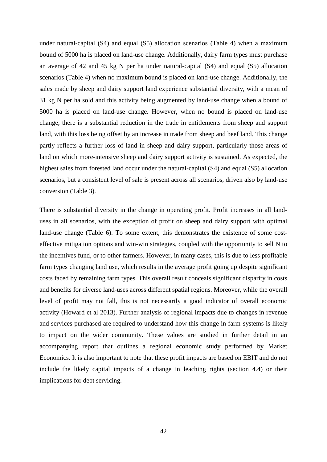under natural-capital (S4) and equal (S5) allocation scenarios (Table 4) when a maximum bound of 5000 ha is placed on land-use change. Additionally, dairy farm types must purchase an average of 42 and 45 kg N per ha under natural-capital (S4) and equal (S5) allocation scenarios (Table 4) when no maximum bound is placed on land-use change. Additionally, the sales made by sheep and dairy support land experience substantial diversity, with a mean of 31 kg N per ha sold and this activity being augmented by land-use change when a bound of 5000 ha is placed on land-use change. However, when no bound is placed on land-use change, there is a substantial reduction in the trade in entitlements from sheep and support land, with this loss being offset by an increase in trade from sheep and beef land. This change partly reflects a further loss of land in sheep and dairy support, particularly those areas of land on which more-intensive sheep and dairy support activity is sustained. As expected, the highest sales from forested land occur under the natural-capital (S4) and equal (S5) allocation scenarios, but a consistent level of sale is present across all scenarios, driven also by land-use conversion (Table 3).

There is substantial diversity in the change in operating profit. Profit increases in all landuses in all scenarios, with the exception of profit on sheep and dairy support with optimal land-use change (Table 6). To some extent, this demonstrates the existence of some costeffective mitigation options and win-win strategies, coupled with the opportunity to sell N to the incentives fund, or to other farmers. However, in many cases, this is due to less profitable farm types changing land use, which results in the average profit going up despite significant costs faced by remaining farm types. This overall result conceals significant disparity in costs and benefits for diverse land-uses across different spatial regions. Moreover, while the overall level of profit may not fall, this is not necessarily a good indicator of overall economic activity (Howard et al 2013). Further analysis of regional impacts due to changes in revenue and services purchased are required to understand how this change in farm-systems is likely to impact on the wider community. These values are studied in further detail in an accompanying report that outlines a regional economic study performed by Market Economics. It is also important to note that these profit impacts are based on EBIT and do not include the likely capital impacts of a change in leaching rights (section 4.4) or their implications for debt servicing.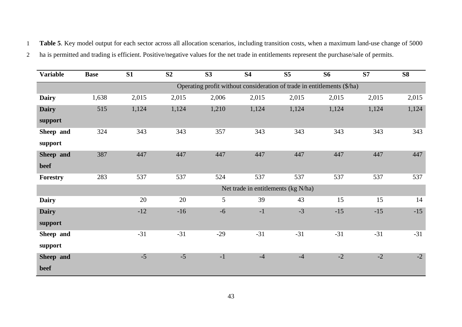1 **Table 5**. Key model output for each sector across all allocation scenarios, including transition costs, when a maximum land-use change of 5000

2 ha is permitted and trading is efficient. Positive/negative values for the net trade in entitlements represent the purchase/sale of permits.

| <b>Variable</b> | <b>Base</b> | S1    | S <sub>2</sub> | S <sub>3</sub> | <b>S4</b> | S <sub>5</sub>                                                          | <b>S6</b> | S7    | <b>S8</b> |
|-----------------|-------------|-------|----------------|----------------|-----------|-------------------------------------------------------------------------|-----------|-------|-----------|
|                 |             |       |                |                |           | Operating profit without consideration of trade in entitlements (\$/ha) |           |       |           |
| <b>Dairy</b>    | 1,638       | 2,015 | 2,015          | 2,006          | 2,015     | 2,015                                                                   | 2,015     | 2,015 | 2,015     |
| <b>Dairy</b>    | 515         | 1,124 | 1,124          | 1,210          | 1,124     | 1,124                                                                   | 1,124     | 1,124 | 1,124     |
| support         |             |       |                |                |           |                                                                         |           |       |           |
| Sheep and       | 324         | 343   | 343            | 357            | 343       | 343                                                                     | 343       | 343   | 343       |
| support         |             |       |                |                |           |                                                                         |           |       |           |
| Sheep and       | 387         | 447   | 447            | 447            | 447       | 447                                                                     | 447       | 447   | 447       |
| beef            |             |       |                |                |           |                                                                         |           |       |           |
| Forestry        | 283         | 537   | 537            | 524            | 537       | 537                                                                     | 537       | 537   | 537       |
|                 |             |       |                |                |           | Net trade in entitlements (kg N/ha)                                     |           |       |           |
| <b>Dairy</b>    |             | 20    | 20             | 5              | 39        | 43                                                                      | 15        | 15    | 14        |
| <b>Dairy</b>    |             | $-12$ | $-16$          | $-6$           | $-1$      | $-3$                                                                    | $-15$     | $-15$ | $-15$     |
| support         |             |       |                |                |           |                                                                         |           |       |           |
| Sheep and       |             | $-31$ | $-31$          | $-29$          | $-31$     | $-31$                                                                   | $-31$     | $-31$ | $-31$     |
| support         |             |       |                |                |           |                                                                         |           |       |           |
| Sheep and       |             | $-5$  | $-5$           | $-1$           | $-4$      | $-4$                                                                    | $-2$      | $-2$  | $-2$      |
| beef            |             |       |                |                |           |                                                                         |           |       |           |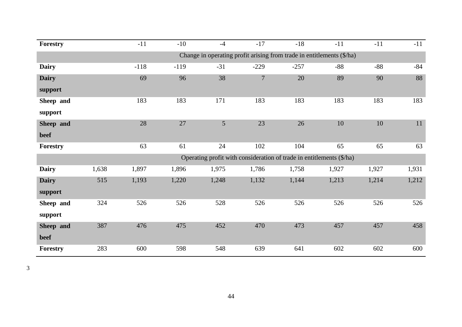| <b>Forestry</b> |                                                                       | $-11$  | $-10$  | $-4$            | $-17$          | $-18$                                                                | $-11$ | $-11$ | $-11$ |  |  |  |
|-----------------|-----------------------------------------------------------------------|--------|--------|-----------------|----------------|----------------------------------------------------------------------|-------|-------|-------|--|--|--|
|                 | Change in operating profit arising from trade in entitlements (\$/ha) |        |        |                 |                |                                                                      |       |       |       |  |  |  |
| <b>Dairy</b>    |                                                                       | $-118$ | $-119$ | $-31$           | $-229$         | $-257$                                                               | $-88$ | $-88$ | $-84$ |  |  |  |
| <b>Dairy</b>    |                                                                       | 69     | 96     | 38              | $\overline{7}$ | 20                                                                   | 89    | 90    | 88    |  |  |  |
| support         |                                                                       |        |        |                 |                |                                                                      |       |       |       |  |  |  |
| Sheep and       |                                                                       | 183    | 183    | 171             | 183            | 183                                                                  | 183   | 183   | 183   |  |  |  |
| support         |                                                                       |        |        |                 |                |                                                                      |       |       |       |  |  |  |
| Sheep and       |                                                                       | 28     | 27     | $5\overline{)}$ | 23             | 26                                                                   | 10    | 10    | 11    |  |  |  |
| beef            |                                                                       |        |        |                 |                |                                                                      |       |       |       |  |  |  |
| Forestry        |                                                                       | 63     | 61     | 24              | 102            | 104                                                                  | 65    | 65    | 63    |  |  |  |
|                 |                                                                       |        |        |                 |                | Operating profit with consideration of trade in entitlements (\$/ha) |       |       |       |  |  |  |
| <b>Dairy</b>    | 1,638                                                                 | 1,897  | 1,896  | 1,975           | 1,786          | 1,758                                                                | 1,927 | 1,927 | 1,931 |  |  |  |
| <b>Dairy</b>    | 515                                                                   | 1,193  | 1,220  | 1,248           | 1,132          | 1,144                                                                | 1,213 | 1,214 | 1,212 |  |  |  |
| support         |                                                                       |        |        |                 |                |                                                                      |       |       |       |  |  |  |
| Sheep and       | 324                                                                   | 526    | 526    | 528             | 526            | 526                                                                  | 526   | 526   | 526   |  |  |  |
| support         |                                                                       |        |        |                 |                |                                                                      |       |       |       |  |  |  |
| Sheep and       | 387                                                                   | 476    | 475    | 452             | 470            | 473                                                                  | 457   | 457   | 458   |  |  |  |
| beef            |                                                                       |        |        |                 |                |                                                                      |       |       |       |  |  |  |
| Forestry        | 283                                                                   | 600    | 598    | 548             | 639            | 641                                                                  | 602   | 602   | 600   |  |  |  |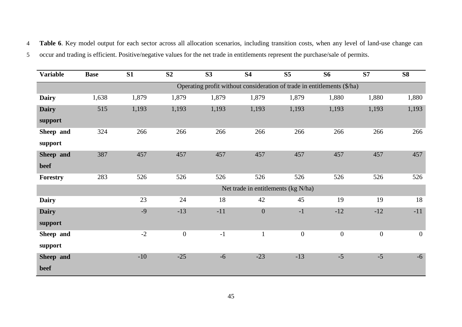4 **Table 6**. Key model output for each sector across all allocation scenarios, including transition costs, when any level of land-use change can 5 occur and trading is efficient. Positive/negative values for the net trade in entitlements represent the purchase/sale of permits.

| <b>Variable</b> | <b>Base</b>                                                             | S1    | S <sub>2</sub>   | S3    | <b>S4</b>        | S <sub>5</sub>                      | <b>S6</b>        | <b>S7</b>        | <b>S8</b>        |  |
|-----------------|-------------------------------------------------------------------------|-------|------------------|-------|------------------|-------------------------------------|------------------|------------------|------------------|--|
|                 | Operating profit without consideration of trade in entitlements (\$/ha) |       |                  |       |                  |                                     |                  |                  |                  |  |
| <b>Dairy</b>    | 1,638                                                                   | 1,879 | 1,879            | 1,879 | 1,879            | 1,879                               | 1,880            | 1,880            | 1,880            |  |
| <b>Dairy</b>    | 515                                                                     | 1,193 | 1,193            | 1,193 | 1,193            | 1,193                               | 1,193            | 1,193            | 1,193            |  |
| support         |                                                                         |       |                  |       |                  |                                     |                  |                  |                  |  |
| Sheep and       | 324                                                                     | 266   | 266              | 266   | 266              | 266                                 | 266              | 266              | 266              |  |
| support         |                                                                         |       |                  |       |                  |                                     |                  |                  |                  |  |
| Sheep and       | 387                                                                     | 457   | 457              | 457   | 457              | 457                                 | 457              | 457              | 457              |  |
| beef            |                                                                         |       |                  |       |                  |                                     |                  |                  |                  |  |
| Forestry        | 283                                                                     | 526   | 526              | 526   | 526              | 526                                 | 526              | 526              | 526              |  |
|                 |                                                                         |       |                  |       |                  | Net trade in entitlements (kg N/ha) |                  |                  |                  |  |
| <b>Dairy</b>    |                                                                         | 23    | 24               | 18    | 42               | 45                                  | 19               | 19               | 18               |  |
| <b>Dairy</b>    |                                                                         | $-9$  | $-13$            | $-11$ | $\boldsymbol{0}$ | $-1$                                | $-12$            | $-12$            | $-11$            |  |
| support         |                                                                         |       |                  |       |                  |                                     |                  |                  |                  |  |
| Sheep and       |                                                                         | $-2$  | $\boldsymbol{0}$ | $-1$  | $\mathbf{1}$     | $\boldsymbol{0}$                    | $\boldsymbol{0}$ | $\boldsymbol{0}$ | $\boldsymbol{0}$ |  |
| support         |                                                                         |       |                  |       |                  |                                     |                  |                  |                  |  |
| Sheep and       |                                                                         | $-10$ | $-25$            | $-6$  | $-23$            | $-13$                               | $-5$             | $-5$             | $-6$             |  |
| beef            |                                                                         |       |                  |       |                  |                                     |                  |                  |                  |  |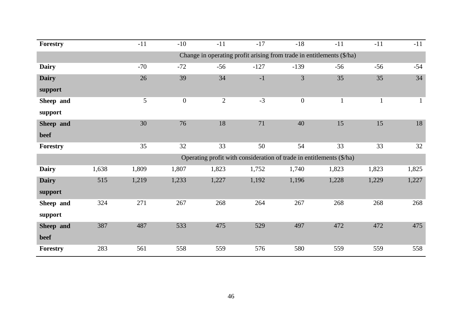| <b>Forestry</b> |       | $-11$ | $-10$            | $-11$          | $-17$  | $-18$                                                                 | $-11$        | $-11$        | $-11$        |
|-----------------|-------|-------|------------------|----------------|--------|-----------------------------------------------------------------------|--------------|--------------|--------------|
|                 |       |       |                  |                |        | Change in operating profit arising from trade in entitlements (\$/ha) |              |              |              |
| <b>Dairy</b>    |       | $-70$ | $-72$            | $-56$          | $-127$ | $-139$                                                                | $-56$        | $-56$        | $-54$        |
| <b>Dairy</b>    |       | 26    | 39               | 34             | $-1$   | 3                                                                     | 35           | 35           | 34           |
| support         |       |       |                  |                |        |                                                                       |              |              |              |
| Sheep and       |       | 5     | $\boldsymbol{0}$ | $\overline{2}$ | $-3$   | $\boldsymbol{0}$                                                      | $\mathbf{1}$ | $\mathbf{1}$ | $\mathbf{1}$ |
| support         |       |       |                  |                |        |                                                                       |              |              |              |
| Sheep and       |       | 30    | 76               | 18             | 71     | 40                                                                    | 15           | 15           | 18           |
| beef            |       |       |                  |                |        |                                                                       |              |              |              |
| Forestry        |       | 35    | 32               | 33             | 50     | 54                                                                    | 33           | 33           | 32           |
|                 |       |       |                  |                |        | Operating profit with consideration of trade in entitlements (\$/ha)  |              |              |              |
| <b>Dairy</b>    | 1,638 | 1,809 | 1,807            | 1,823          | 1,752  | 1,740                                                                 | 1,823        | 1,823        | 1,825        |
| <b>Dairy</b>    | 515   | 1,219 | 1,233            | 1,227          | 1,192  | 1,196                                                                 | 1,228        | 1,229        | 1,227        |
| support         |       |       |                  |                |        |                                                                       |              |              |              |
| Sheep and       | 324   | 271   | 267              | 268            | 264    | 267                                                                   | 268          | 268          | 268          |
| support         |       |       |                  |                |        |                                                                       |              |              |              |
| Sheep and       | 387   | 487   | 533              | 475            | 529    | 497                                                                   | 472          | 472          | 475          |
| beef            |       |       |                  |                |        |                                                                       |              |              |              |
| Forestry        | 283   | 561   | 558              | 559            | 576    | 580                                                                   | 559          | 559          | 558          |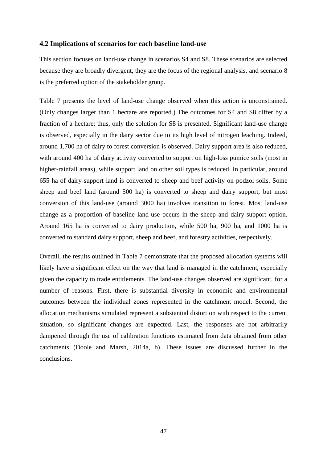#### <span id="page-46-0"></span>**4.2 Implications of scenarios for each baseline land-use**

This section focuses on land-use change in scenarios S4 and S8. These scenarios are selected because they are broadly divergent, they are the focus of the regional analysis, and scenario 8 is the preferred option of the stakeholder group.

Table 7 presents the level of land-use change observed when this action is unconstrained. (Only changes larger than 1 hectare are reported.) The outcomes for S4 and S8 differ by a fraction of a hectare; thus, only the solution for S8 is presented. Significant land-use change is observed, especially in the dairy sector due to its high level of nitrogen leaching. Indeed, around 1,700 ha of dairy to forest conversion is observed. Dairy support area is also reduced, with around 400 ha of dairy activity converted to support on high-loss pumice soils (most in higher-rainfall areas), while support land on other soil types is reduced. In particular, around 655 ha of dairy-support land is converted to sheep and beef activity on podzol soils. Some sheep and beef land (around 500 ha) is converted to sheep and dairy support, but most conversion of this land-use (around 3000 ha) involves transition to forest. Most land-use change as a proportion of baseline land-use occurs in the sheep and dairy-support option. Around 165 ha is converted to dairy production, while 500 ha, 900 ha, and 1000 ha is converted to standard dairy support, sheep and beef, and forestry activities, respectively.

Overall, the results outlined in Table 7 demonstrate that the proposed allocation systems will likely have a significant effect on the way that land is managed in the catchment, especially given the capacity to trade entitlements. The land-use changes observed are significant, for a number of reasons. First, there is substantial diversity in economic and environmental outcomes between the individual zones represented in the catchment model. Second, the allocation mechanisms simulated represent a substantial distortion with respect to the current situation, so significant changes are expected. Last, the responses are not arbitrarily dampened through the use of calibration functions estimated from data obtained from other catchments (Doole and Marsh, 2014a, b). These issues are discussed further in the conclusions.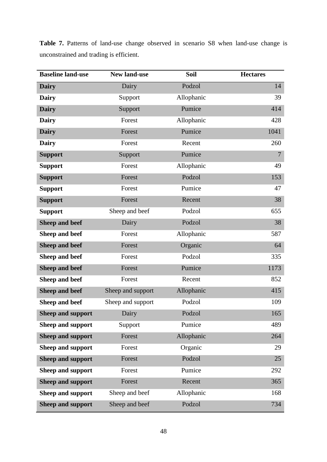| <b>Baseline land-use</b> | <b>New land-use</b> | Soil       | <b>Hectares</b> |
|--------------------------|---------------------|------------|-----------------|
| <b>Dairy</b>             | Dairy               | Podzol     | 14              |
| <b>Dairy</b>             | Support             | Allophanic | 39              |
| <b>Dairy</b>             | Support             | Pumice     | 414             |
| <b>Dairy</b>             | Forest              | Allophanic | 428             |
| <b>Dairy</b>             | Forest              | Pumice     | 1041            |
| <b>Dairy</b>             | Forest              | Recent     | 260             |
| <b>Support</b>           | Support             | Pumice     | $\overline{7}$  |
| <b>Support</b>           | Forest              | Allophanic | 49              |
| <b>Support</b>           | Forest              | Podzol     | 153             |
| <b>Support</b>           | Forest              | Pumice     | 47              |
| <b>Support</b>           | Forest              | Recent     | 38              |
| <b>Support</b>           | Sheep and beef      | Podzol     | 655             |
| <b>Sheep and beef</b>    | Dairy               | Podzol     | 38              |
| Sheep and beef           | Forest              | Allophanic | 587             |
| <b>Sheep and beef</b>    | Forest              | Organic    | 64              |
| Sheep and beef           | Forest              | Podzol     | 335             |
| <b>Sheep and beef</b>    | Forest              | Pumice     | 1173            |
| Sheep and beef           | Forest              | Recent     | 852             |
| <b>Sheep and beef</b>    | Sheep and support   | Allophanic | 415             |
| Sheep and beef           | Sheep and support   | Podzol     | 109             |
| <b>Sheep and support</b> | Dairy               | Podzol     | 165             |
| <b>Sheep and support</b> | Support             | Pumice     | 489             |
| <b>Sheep and support</b> | Forest              | Allophanic | 264             |
| <b>Sheep and support</b> | Forest              | Organic    | 29              |
| <b>Sheep and support</b> | Forest              | Podzol     | 25              |
| <b>Sheep and support</b> | Forest              | Pumice     | 292             |
| <b>Sheep and support</b> | Forest              | Recent     | 365             |
| <b>Sheep and support</b> | Sheep and beef      | Allophanic | 168             |
| <b>Sheep and support</b> | Sheep and beef      | Podzol     | 734             |

**Table 7.** Patterns of land-use change observed in scenario S8 when land-use change is unconstrained and trading is efficient.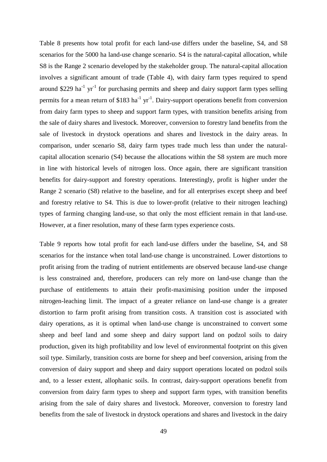Table 8 presents how total profit for each land-use differs under the baseline, S4, and S8 scenarios for the 5000 ha land-use change scenario. S4 is the natural-capital allocation, while S8 is the Range 2 scenario developed by the stakeholder group. The natural-capital allocation involves a significant amount of trade (Table 4), with dairy farm types required to spend around \$229 ha<sup>-1</sup> yr<sup>-1</sup> for purchasing permits and sheep and dairy support farm types selling permits for a mean return of \$183 ha<sup>-1</sup> yr<sup>-1</sup>. Dairy-support operations benefit from conversion from dairy farm types to sheep and support farm types, with transition benefits arising from the sale of dairy shares and livestock. Moreover, conversion to forestry land benefits from the sale of livestock in drystock operations and shares and livestock in the dairy areas. In comparison, under scenario S8, dairy farm types trade much less than under the naturalcapital allocation scenario (S4) because the allocations within the S8 system are much more in line with historical levels of nitrogen loss. Once again, there are significant transition benefits for dairy-support and forestry operations. Interestingly, profit is higher under the Range 2 scenario (S8) relative to the baseline, and for all enterprises except sheep and beef and forestry relative to S4. This is due to lower-profit (relative to their nitrogen leaching) types of farming changing land-use, so that only the most efficient remain in that land-use. However, at a finer resolution, many of these farm types experience costs.

Table 9 reports how total profit for each land-use differs under the baseline, S4, and S8 scenarios for the instance when total land-use change is unconstrained. Lower distortions to profit arising from the trading of nutrient entitlements are observed because land-use change is less constrained and, therefore, producers can rely more on land-use change than the purchase of entitlements to attain their profit-maximising position under the imposed nitrogen-leaching limit. The impact of a greater reliance on land-use change is a greater distortion to farm profit arising from transition costs. A transition cost is associated with dairy operations, as it is optimal when land-use change is unconstrained to convert some sheep and beef land and some sheep and dairy support land on podzol soils to dairy production, given its high profitability and low level of environmental footprint on this given soil type. Similarly, transition costs are borne for sheep and beef conversion, arising from the conversion of dairy support and sheep and dairy support operations located on podzol soils and, to a lesser extent, allophanic soils. In contrast, dairy-support operations benefit from conversion from dairy farm types to sheep and support farm types, with transition benefits arising from the sale of dairy shares and livestock. Moreover, conversion to forestry land benefits from the sale of livestock in drystock operations and shares and livestock in the dairy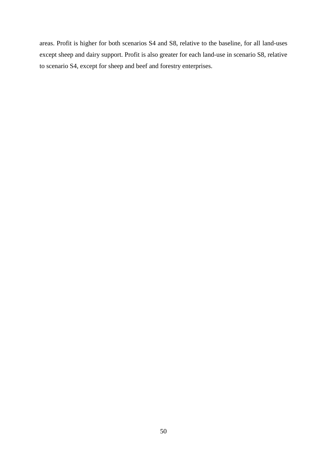areas. Profit is higher for both scenarios S4 and S8, relative to the baseline, for all land-uses except sheep and dairy support. Profit is also greater for each land-use in scenario S8, relative to scenario S4, except for sheep and beef and forestry enterprises.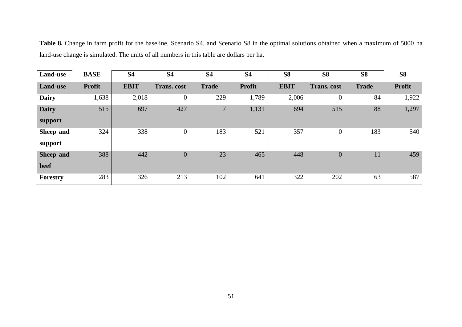**Table 8.** Change in farm profit for the baseline, Scenario S4, and Scenario S8 in the optimal solutions obtained when a maximum of 5000 ha land-use change is simulated. The units of all numbers in this table are dollars per ha.

| <b>Land-use</b> | <b>BASE</b>   | <b>S4</b>   | <b>S4</b>          | <b>S4</b>      | <b>S4</b>     | <b>S8</b>   | <b>S8</b>          | <b>S8</b>    | <b>S8</b>     |
|-----------------|---------------|-------------|--------------------|----------------|---------------|-------------|--------------------|--------------|---------------|
| <b>Land-use</b> | <b>Profit</b> | <b>EBIT</b> | <b>Trans.</b> cost | <b>Trade</b>   | <b>Profit</b> | <b>EBIT</b> | <b>Trans.</b> cost | <b>Trade</b> | <b>Profit</b> |
| <b>Dairy</b>    | 1,638         | 2,018       | $\overline{0}$     | $-229$         | 1,789         | 2,006       | $\boldsymbol{0}$   | $-84$        | 1,922         |
| <b>Dairy</b>    | 515           | 697         | 427                | $\overline{7}$ | 1,131         | 694         | 515                | 88           | 1,297         |
| support         |               |             |                    |                |               |             |                    |              |               |
| Sheep and       | 324           | 338         | $\mathbf{0}$       | 183            | 521           | 357         | $\overline{0}$     | 183          | 540           |
| support         |               |             |                    |                |               |             |                    |              |               |
| Sheep and       | 388           | 442         | $\boldsymbol{0}$   | 23             | 465           | 448         | $\boldsymbol{0}$   | 11           | 459           |
| beef            |               |             |                    |                |               |             |                    |              |               |
| Forestry        | 283           | 326         | 213                | 102            | 641           | 322         | 202                | 63           | 587           |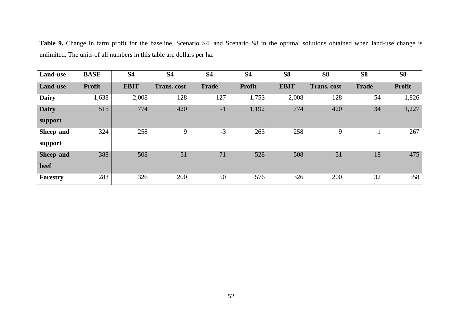**Table 9.** Change in farm profit for the baseline, Scenario S4, and Scenario S8 in the optimal solutions obtained when land-use change is unlimited. The units of all numbers in this table are dollars per ha.

| Land-use         | <b>BASE</b>   | <b>S4</b>   | <b>S4</b>          | <b>S4</b>    | <b>S4</b>     | <b>S8</b>   | <b>S8</b>          | <b>S8</b>    | <b>S8</b>     |
|------------------|---------------|-------------|--------------------|--------------|---------------|-------------|--------------------|--------------|---------------|
| Land-use         | <b>Profit</b> | <b>EBIT</b> | <b>Trans.</b> cost | <b>Trade</b> | <b>Profit</b> | <b>EBIT</b> | <b>Trans.</b> cost | <b>Trade</b> | <b>Profit</b> |
| <b>Dairy</b>     | 1,638         | 2,008       | $-128$             | $-127$       | 1,753         | 2,008       | $-128$             | $-54$        | 1,826         |
| <b>Dairy</b>     | 515           | 774         | 420                | $-1$         | 1,192         | 774         | 420                | 34           | 1,227         |
| support          |               |             |                    |              |               |             |                    |              |               |
| Sheep and        | 324           | 258         | 9                  | $-3$         | 263           | 258         | 9                  |              | 267           |
| support          |               |             |                    |              |               |             |                    |              |               |
| <b>Sheep and</b> | 388           | 508         | $-51$              | 71           | 528           | 508         | $-51$              | 18           | 475           |
| beef             |               |             |                    |              |               |             |                    |              |               |
| Forestry         | 283           | 326         | 200                | 50           | 576           | 326         | 200                | 32           | 558           |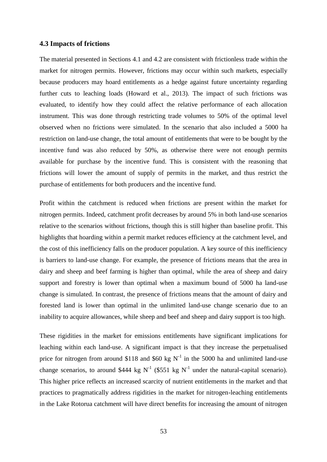#### <span id="page-52-0"></span>**4.3 Impacts of frictions**

The material presented in Sections 4.1 and 4.2 are consistent with frictionless trade within the market for nitrogen permits. However, frictions may occur within such markets, especially because producers may hoard entitlements as a hedge against future uncertainty regarding further cuts to leaching loads (Howard et al., 2013). The impact of such frictions was evaluated, to identify how they could affect the relative performance of each allocation instrument. This was done through restricting trade volumes to 50% of the optimal level observed when no frictions were simulated. In the scenario that also included a 5000 ha restriction on land-use change, the total amount of entitlements that were to be bought by the incentive fund was also reduced by 50%, as otherwise there were not enough permits available for purchase by the incentive fund. This is consistent with the reasoning that frictions will lower the amount of supply of permits in the market, and thus restrict the purchase of entitlements for both producers and the incentive fund.

Profit within the catchment is reduced when frictions are present within the market for nitrogen permits. Indeed, catchment profit decreases by around 5% in both land-use scenarios relative to the scenarios without frictions, though this is still higher than baseline profit. This highlights that hoarding within a permit market reduces efficiency at the catchment level, and the cost of this inefficiency falls on the producer population. A key source of this inefficiency is barriers to land-use change. For example, the presence of frictions means that the area in dairy and sheep and beef farming is higher than optimal, while the area of sheep and dairy support and forestry is lower than optimal when a maximum bound of 5000 ha land-use change is simulated. In contrast, the presence of frictions means that the amount of dairy and forested land is lower than optimal in the unlimited land-use change scenario due to an inability to acquire allowances, while sheep and beef and sheep and dairy support is too high.

These rigidities in the market for emissions entitlements have significant implications for leaching within each land-use. A significant impact is that they increase the perpetualised price for nitrogen from around \$118 and \$60 kg  $N^{-1}$  in the 5000 ha and unlimited land-use change scenarios, to around \$444 kg N<sup>-1</sup> (\$551 kg N<sup>-1</sup> under the natural-capital scenario). This higher price reflects an increased scarcity of nutrient entitlements in the market and that practices to pragmatically address rigidities in the market for nitrogen-leaching entitlements in the Lake Rotorua catchment will have direct benefits for increasing the amount of nitrogen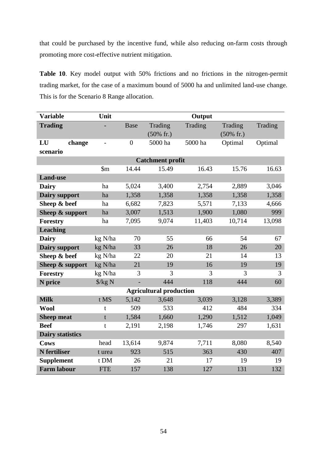that could be purchased by the incentive fund, while also reducing on-farm costs through promoting more cost-effective nutrient mitigation.

**Table 10**. Key model output with 50% frictions and no frictions in the nitrogen-permit trading market, for the case of a maximum bound of 5000 ha and unlimited land-use change. This is for the Scenario 8 Range allocation.

| <b>Variable</b>          | Unit                    |                |                                 | Output  |                                 |         |  |
|--------------------------|-------------------------|----------------|---------------------------------|---------|---------------------------------|---------|--|
| <b>Trading</b>           |                         | Base           | Trading<br>$(50\% \text{ fr.})$ | Trading | Trading<br>$(50\% \text{ fr.})$ | Trading |  |
| LU<br>change<br>scenario | $\overline{a}$          | $\overline{0}$ | 5000 ha                         | 5000 ha | Optimal                         | Optimal |  |
|                          | <b>Catchment profit</b> |                |                                 |         |                                 |         |  |
|                          | $\mathfrak{m}$          | 14.44          | 15.49                           | 16.43   | 15.76                           | 16.63   |  |
| <b>Land-use</b>          |                         |                |                                 |         |                                 |         |  |
| <b>Dairy</b>             | ha                      | 5,024          | 3,400                           | 2,754   | 2,889                           | 3,046   |  |
| <b>Dairy support</b>     | ha                      | 1,358          | 1,358                           | 1,358   | 1,358                           | 1,358   |  |
| Sheep & beef             | ha                      | 6,682          | 7,823                           | 5,571   | 7,133                           | 4,666   |  |
| Sheep & support          | ha                      | 3,007          | 1,513                           | 1,900   | 1,080                           | 999     |  |
| <b>Forestry</b>          | ha                      | 7,095          | 9,074                           | 11,403  | 10,714                          | 13,098  |  |
| <b>Leaching</b>          |                         |                |                                 |         |                                 |         |  |
| <b>Dairy</b>             | kg N/ha                 | 70             | 55                              | 66      | 54                              | 67      |  |
| Dairy support            | kg N/ha                 | 33             | 26                              | 18      | 26                              | 20      |  |
| Sheep & beef             | kg N/ha                 | 22             | 20                              | 21      | 14                              | 13      |  |
| Sheep & support          | kg N/ha                 | 21             | 19                              | 16      | 19                              | 19      |  |
| <b>Forestry</b>          | kg N/ha                 | 3              | 3                               | 3       | 3                               | 3       |  |
| N price                  | $\frac{\sqrt{2}}{2}$ N  |                | 444                             | 118     | 444                             | 60      |  |
|                          |                         |                | <b>Agricultural production</b>  |         |                                 |         |  |
| <b>Milk</b>              | t MS                    | 5,142          | 3,648                           | 3,039   | 3,128                           | 3,389   |  |
| <b>Wool</b>              | t                       | 509            | 533                             | 412     | 484                             | 334     |  |
| <b>Sheep meat</b>        | $\mathbf t$             | 1,584          | 1,660                           | 1,290   | 1,512                           | 1,049   |  |
| <b>Beef</b>              | $\mathbf t$             | 2,191          | 2,198                           | 1,746   | 297                             | 1,631   |  |
| <b>Dairy statistics</b>  |                         |                |                                 |         |                                 |         |  |
| <b>Cows</b>              | head                    | 13,614         | 9,874                           | 7,711   | 8,080                           | 8,540   |  |
| <b>N</b> fertiliser      | t urea                  | 923            | 515                             | 363     | 430                             | 407     |  |
| <b>Supplement</b>        | t DM                    | 26             | 21                              | 17      | 19                              | 19      |  |
| <b>Farm labour</b>       | <b>FTE</b>              | 157            | 138                             | 127     | 131                             | 132     |  |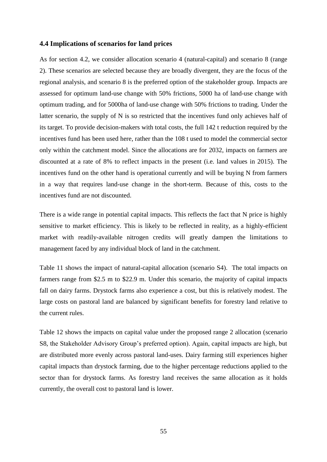#### <span id="page-54-0"></span>**4.4 Implications of scenarios for land prices**

As for section 4.2, we consider allocation scenario 4 (natural-capital) and scenario 8 (range 2). These scenarios are selected because they are broadly divergent, they are the focus of the regional analysis, and scenario 8 is the preferred option of the stakeholder group. Impacts are assessed for optimum land-use change with 50% frictions, 5000 ha of land-use change with optimum trading, and for 5000ha of land-use change with 50% frictions to trading. Under the latter scenario, the supply of N is so restricted that the incentives fund only achieves half of its target. To provide decision-makers with total costs, the full 142 t reduction required by the incentives fund has been used here, rather than the 108 t used to model the commercial sector only within the catchment model. Since the allocations are for 2032, impacts on farmers are discounted at a rate of 8% to reflect impacts in the present (i.e. land values in 2015). The incentives fund on the other hand is operational currently and will be buying N from farmers in a way that requires land-use change in the short-term. Because of this, costs to the incentives fund are not discounted.

There is a wide range in potential capital impacts. This reflects the fact that N price is highly sensitive to market efficiency. This is likely to be reflected in reality, as a highly-efficient market with readily-available nitrogen credits will greatly dampen the limitations to management faced by any individual block of land in the catchment.

Table 11 shows the impact of natural-capital allocation (scenario S4). The total impacts on farmers range from \$2.5 m to \$22.9 m. Under this scenario, the majority of capital impacts fall on dairy farms. Drystock farms also experience a cost, but this is relatively modest. The large costs on pastoral land are balanced by significant benefits for forestry land relative to the current rules.

Table 12 shows the impacts on capital value under the proposed range 2 allocation (scenario S8, the Stakeholder Advisory Group's preferred option). Again, capital impacts are high, but are distributed more evenly across pastoral land-uses. Dairy farming still experiences higher capital impacts than drystock farming, due to the higher percentage reductions applied to the sector than for drystock farms. As forestry land receives the same allocation as it holds currently, the overall cost to pastoral land is lower.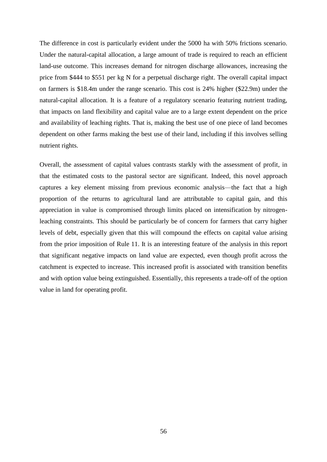The difference in cost is particularly evident under the 5000 ha with 50% frictions scenario. Under the natural-capital allocation, a large amount of trade is required to reach an efficient land-use outcome. This increases demand for nitrogen discharge allowances, increasing the price from \$444 to \$551 per kg N for a perpetual discharge right. The overall capital impact on farmers is \$18.4m under the range scenario. This cost is 24% higher (\$22.9m) under the natural-capital allocation. It is a feature of a regulatory scenario featuring nutrient trading, that impacts on land flexibility and capital value are to a large extent dependent on the price and availability of leaching rights. That is, making the best use of one piece of land becomes dependent on other farms making the best use of their land, including if this involves selling nutrient rights.

Overall, the assessment of capital values contrasts starkly with the assessment of profit, in that the estimated costs to the pastoral sector are significant. Indeed, this novel approach captures a key element missing from previous economic analysis—the fact that a high proportion of the returns to agricultural land are attributable to capital gain, and this appreciation in value is compromised through limits placed on intensification by nitrogenleaching constraints. This should be particularly be of concern for farmers that carry higher levels of debt, especially given that this will compound the effects on capital value arising from the prior imposition of Rule 11. It is an interesting feature of the analysis in this report that significant negative impacts on land value are expected, even though profit across the catchment is expected to increase. This increased profit is associated with transition benefits and with option value being extinguished. Essentially, this represents a trade-off of the option value in land for operating profit.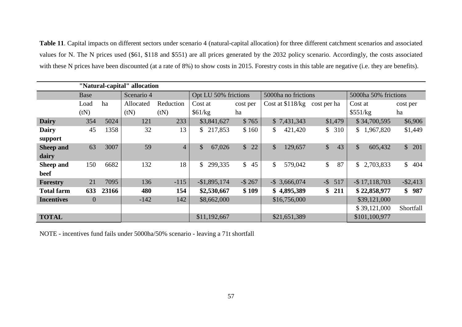**Table 11**. Capital impacts on different sectors under scenario 4 (natural-capital allocation) for three different catchment scenarios and associated values for N. The N prices used (\$61, \$118 and \$551) are all prices generated by the 2032 policy scenario. Accordingly, the costs associated with these N prices have been discounted (at a rate of 8%) to show costs in 2015. Forestry costs in this table are negative (i.e. they are benefits).

| "Natural-capital" allocation |                |       |            |                |                      |                     |                          |             |                          |                     |
|------------------------------|----------------|-------|------------|----------------|----------------------|---------------------|--------------------------|-------------|--------------------------|---------------------|
|                              | Base           |       | Scenario 4 |                | Opt LU 50% frictions |                     | 5000ha no frictions      |             | 5000ha 50% frictions     |                     |
|                              | Load           | ha    | Allocated  | Reduction      | Cost at              | cost per            | Cost at \$118/kg         | cost per ha | Cost at                  | cost per            |
|                              | (tN)           |       | (tN)       | (tN)           | \$61/kg              | ha                  |                          |             | \$551/kg                 | ha                  |
| <b>Dairy</b>                 | 354            | 5024  | 121        | 233            | \$3,841,627          | \$765               | \$7,431,343              | \$1,479     | \$34,700,595             | \$6,906             |
| <b>Dairy</b>                 | 45             | 1358  | 32         | 13             | \$217,853            | \$160               | \$<br>421,420            | \$310       | \$1,967,820              | \$1,449             |
| support                      |                |       |            |                |                      |                     |                          |             |                          |                     |
| <b>Sheep and</b>             | 63             | 3007  | 59         | $\overline{4}$ | \$<br>67,026         | $\frac{1}{2}$<br>22 | $\mathcal{S}$<br>129,657 | \$<br>43    | $\mathcal{S}$<br>605,432 | \$201               |
| dairy                        |                |       |            |                |                      |                     |                          |             |                          |                     |
| Sheep and                    | 150            | 6682  | 132        | 18             | \$<br>299,335        | $\mathbb{S}$<br>45  | \$<br>579,042            | \$<br>87    | 2,703,833<br>\$          | $\mathbb{S}$<br>404 |
| beef                         |                |       |            |                |                      |                     |                          |             |                          |                     |
| Forestry                     | 21             | 7095  | 136        | $-115$         | $-$1,895,174$        | $-$ \$ 267          | $-$ \$ 3,666,074         | $-$ \$ 517  | $-$ \$17,118,703         | $-$ \$2,413         |
| <b>Total farm</b>            | 633            | 23166 | 480        | 154            | \$2,530,667          | \$109               | \$4,895,389              | \$211       | \$22,858,977             | \$987               |
| <b>Incentives</b>            | $\overline{0}$ |       | $-142$     | 142            | \$8,662,000          |                     | \$16,756,000             |             | \$39,121,000             |                     |
|                              |                |       |            |                |                      |                     |                          |             | \$39,121,000             | Shortfall           |
| <b>TOTAL</b>                 |                |       |            |                | \$11,192,667         |                     | \$21,651,389             |             | \$101,100,977            |                     |

NOTE - incentives fund fails under 5000ha/50% scenario - leaving a 71t shortfall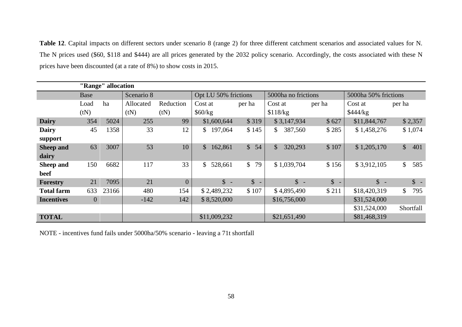**Table 12**. Capital impacts on different sectors under scenario 8 (range 2) for three different catchment scenarios and associated values for N. The N prices used (\$60, \$118 and \$444) are all prices generated by the 2032 policy scenario. Accordingly, the costs associated with these N prices have been discounted (at a rate of 8%) to show costs in 2015.

|                   | "Range" allocation |       |            |                |                         |                                          |                          |                        |                      |                     |  |  |
|-------------------|--------------------|-------|------------|----------------|-------------------------|------------------------------------------|--------------------------|------------------------|----------------------|---------------------|--|--|
|                   | Base               |       | Scenario 8 |                | Opt LU 50% frictions    |                                          | 5000ha no frictions      |                        | 5000ha 50% frictions |                     |  |  |
|                   | Load               | ha    | Allocated  | Reduction      | Cost at                 | per ha                                   | Cost at                  | per ha                 | Cost at              | per ha              |  |  |
|                   | (tN)               |       | (tN)       | (tN)           | \$60/kg                 |                                          | \$118/kg                 |                        | \$444/kg             |                     |  |  |
| <b>Dairy</b>      | 354                | 5024  | 255        | 99             | \$1,600,644             | \$319                                    | \$3,147,934              | \$627                  | \$11,844,767         | \$2,357             |  |  |
| <b>Dairy</b>      | 45                 | 1358  | 33         | 12             | 197,064<br>\$           | \$145                                    | 387,560<br>$\mathbb{S}$  | \$285                  | \$1,458,276          | \$1,074             |  |  |
| support           |                    |       |            |                |                         |                                          |                          |                        |                      |                     |  |  |
| Sheep and         | 63                 | 3007  | 53         | 10             | $\mathbb{S}$<br>162,861 | $\mathbb{S}$<br>54                       | $\mathcal{S}$<br>320,293 | \$107                  | \$1,205,170          | $\mathbb{S}$<br>401 |  |  |
| dairy             |                    |       |            |                |                         |                                          |                          |                        |                      |                     |  |  |
| Sheep and         | 150                | 6682  | 117        | 33             | 528,661<br>$\mathbb{S}$ | $\mathbb{S}$<br>79                       | \$1,039,704              | \$156                  | \$3,912,105          | $\mathbb{S}$<br>585 |  |  |
| beef              |                    |       |            |                |                         |                                          |                          |                        |                      |                     |  |  |
| <b>Forestry</b>   | 21                 | 7095  | 21         | $\overline{0}$ | $\hat{\mathbb{S}}$ -    | $\mathbb{S}$<br>$\overline{\phantom{a}}$ | $\uparrow$ -             | $\mathbb{S}$<br>$\sim$ | $\uparrow$ -         | $\updownarrow$ -    |  |  |
| <b>Total farm</b> | 633                | 23166 | 480        | 154            | \$2,489,232             | \$107                                    | \$4,895,490              | \$211                  | \$18,420,319         | 795<br>$\mathbb{S}$ |  |  |
| <b>Incentives</b> | $\overline{0}$     |       | $-142$     | 142            | \$8,520,000             |                                          | \$16,756,000             |                        | \$31,524,000         |                     |  |  |
|                   |                    |       |            |                |                         |                                          |                          |                        | \$31,524,000         | Shortfall           |  |  |
| <b>TOTAL</b>      |                    |       |            |                | \$11,009,232            |                                          | \$21,651,490             |                        | \$81,468,319         |                     |  |  |

NOTE - incentives fund fails under 5000ha/50% scenario - leaving a 71t shortfall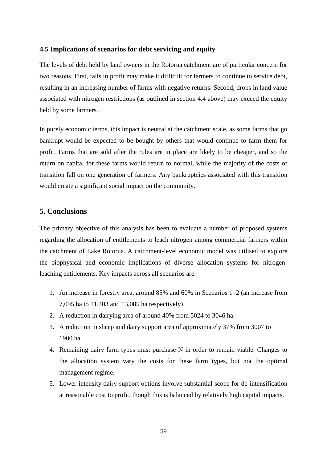#### <span id="page-58-0"></span>**4.5 Implications of scenarios for debt servicing and equity**

The levels of debt held by land owners in the Rotorua catchment are of particular concern for two reasons. First, falls in profit may make it difficult for farmers to continue to service debt, resulting in an increasing number of farms with negative returns. Second, drops in land value associated with nitrogen restrictions (as outlined in section 4.4 above) may exceed the equity held by some farmers.

In purely economic terms, this impact is neutral at the catchment scale, as some farms that go bankrupt would be expected to be bought by others that would continue to farm them for profit. Farms that are sold after the rules are in place are likely to be cheaper, and so the return on capital for these farms would return to normal, while the majority of the costs of transition fall on one generation of farmers. Any bankruptcies associated with this transition would create a significant social impact on the community.

# <span id="page-58-1"></span>**5. Conclusions**

The primary objective of this analysis has been to evaluate a number of proposed systems regarding the allocation of entitlements to leach nitrogen among commercial farmers within the catchment of Lake Rotorua. A catchment-level economic model was utilised to explore the biophysical and economic implications of diverse allocation systems for nitrogenleaching entitlements. Key impacts across all scenarios are:

- 1. An increase in forestry area, around 85% and 60% in Scenarios 1–2 (an increase from 7,095 ha to 11,403 and 13,085 ha respectively)
- 2. A reduction in dairying area of around 40% from 5024 to 3046 ha.
- 3. A reduction in sheep and dairy support area of approximately 37% from 3007 to 1900 ha.
- 4. Remaining dairy farm types must purchase N in order to remain viable. Changes to the allocation system vary the costs for these farm types, but not the optimal management regime.
- 5. Lower-intensity dairy-support options involve substantial scope for de-intensification at reasonable cost to profit, though this is balanced by relatively high capital impacts.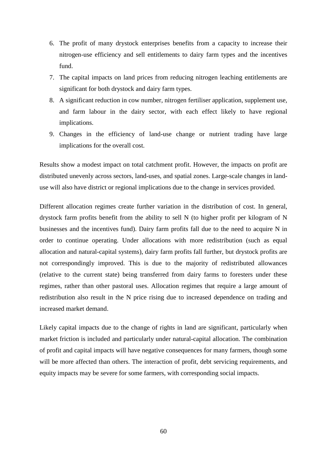- 6. The profit of many drystock enterprises benefits from a capacity to increase their nitrogen-use efficiency and sell entitlements to dairy farm types and the incentives fund.
- 7. The capital impacts on land prices from reducing nitrogen leaching entitlements are significant for both drystock and dairy farm types.
- 8. A significant reduction in cow number, nitrogen fertiliser application, supplement use, and farm labour in the dairy sector, with each effect likely to have regional implications.
- 9. Changes in the efficiency of land-use change or nutrient trading have large implications for the overall cost.

Results show a modest impact on total catchment profit. However, the impacts on profit are distributed unevenly across sectors, land-uses, and spatial zones. Large-scale changes in landuse will also have district or regional implications due to the change in services provided.

Different allocation regimes create further variation in the distribution of cost. In general, drystock farm profits benefit from the ability to sell N (to higher profit per kilogram of N businesses and the incentives fund). Dairy farm profits fall due to the need to acquire N in order to continue operating. Under allocations with more redistribution (such as equal allocation and natural-capital systems), dairy farm profits fall further, but drystock profits are not correspondingly improved. This is due to the majority of redistributed allowances (relative to the current state) being transferred from dairy farms to foresters under these regimes, rather than other pastoral uses. Allocation regimes that require a large amount of redistribution also result in the N price rising due to increased dependence on trading and increased market demand.

Likely capital impacts due to the change of rights in land are significant, particularly when market friction is included and particularly under natural-capital allocation. The combination of profit and capital impacts will have negative consequences for many farmers, though some will be more affected than others. The interaction of profit, debt servicing requirements, and equity impacts may be severe for some farmers, with corresponding social impacts.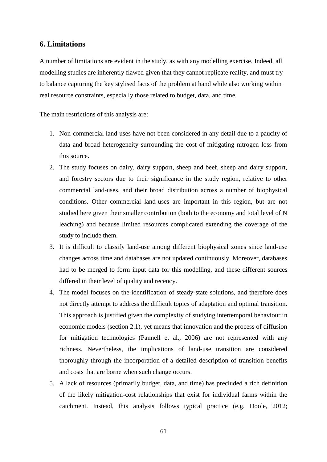# <span id="page-60-0"></span>**6. Limitations**

A number of limitations are evident in the study, as with any modelling exercise. Indeed, all modelling studies are inherently flawed given that they cannot replicate reality, and must try to balance capturing the key stylised facts of the problem at hand while also working within real resource constraints, especially those related to budget, data, and time.

The main restrictions of this analysis are:

- 1. Non-commercial land-uses have not been considered in any detail due to a paucity of data and broad heterogeneity surrounding the cost of mitigating nitrogen loss from this source.
- 2. The study focuses on dairy, dairy support, sheep and beef, sheep and dairy support, and forestry sectors due to their significance in the study region, relative to other commercial land-uses, and their broad distribution across a number of biophysical conditions. Other commercial land-uses are important in this region, but are not studied here given their smaller contribution (both to the economy and total level of N leaching) and because limited resources complicated extending the coverage of the study to include them.
- 3. It is difficult to classify land-use among different biophysical zones since land-use changes across time and databases are not updated continuously. Moreover, databases had to be merged to form input data for this modelling, and these different sources differed in their level of quality and recency.
- 4. The model focuses on the identification of steady-state solutions, and therefore does not directly attempt to address the difficult topics of adaptation and optimal transition. This approach is justified given the complexity of studying intertemporal behaviour in economic models (section 2.1), yet means that innovation and the process of diffusion for mitigation technologies (Pannell et al., 2006) are not represented with any richness. Nevertheless, the implications of land-use transition are considered thoroughly through the incorporation of a detailed description of transition benefits and costs that are borne when such change occurs.
- 5. A lack of resources (primarily budget, data, and time) has precluded a rich definition of the likely mitigation-cost relationships that exist for individual farms within the catchment. Instead, this analysis follows typical practice (e.g. Doole, 2012;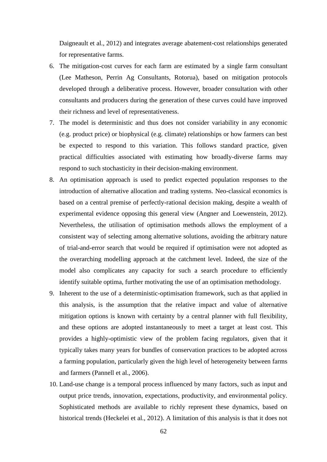Daigneault et al., 2012) and integrates average abatement-cost relationships generated for representative farms.

- 6. The mitigation-cost curves for each farm are estimated by a single farm consultant (Lee Matheson, Perrin Ag Consultants, Rotorua), based on mitigation protocols developed through a deliberative process. However, broader consultation with other consultants and producers during the generation of these curves could have improved their richness and level of representativeness.
- 7. The model is deterministic and thus does not consider variability in any economic (e.g. product price) or biophysical (e.g. climate) relationships or how farmers can best be expected to respond to this variation. This follows standard practice, given practical difficulties associated with estimating how broadly-diverse farms may respond to such stochasticity in their decision-making environment.
- 8. An optimisation approach is used to predict expected population responses to the introduction of alternative allocation and trading systems. Neo-classical economics is based on a central premise of perfectly-rational decision making, despite a wealth of experimental evidence opposing this general view (Angner and Loewenstein, 2012). Nevertheless, the utilisation of optimisation methods allows the employment of a consistent way of selecting among alternative solutions, avoiding the arbitrary nature of trial-and-error search that would be required if optimisation were not adopted as the overarching modelling approach at the catchment level. Indeed, the size of the model also complicates any capacity for such a search procedure to efficiently identify suitable optima, further motivating the use of an optimisation methodology.
- 9. Inherent to the use of a deterministic-optimisation framework, such as that applied in this analysis, is the assumption that the relative impact and value of alternative mitigation options is known with certainty by a central planner with full flexibility, and these options are adopted instantaneously to meet a target at least cost. This provides a highly-optimistic view of the problem facing regulators, given that it typically takes many years for bundles of conservation practices to be adopted across a farming population, particularly given the high level of heterogeneity between farms and farmers (Pannell et al., 2006).
- 10. Land-use change is a temporal process influenced by many factors, such as input and output price trends, innovation, expectations, productivity, and environmental policy. Sophisticated methods are available to richly represent these dynamics, based on historical trends (Heckelei et al., 2012). A limitation of this analysis is that it does not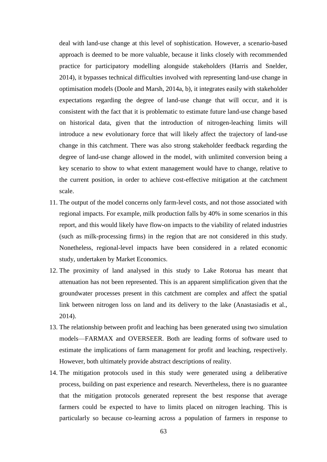deal with land-use change at this level of sophistication. However, a scenario-based approach is deemed to be more valuable, because it links closely with recommended practice for participatory modelling alongside stakeholders (Harris and Snelder, 2014), it bypasses technical difficulties involved with representing land-use change in optimisation models (Doole and Marsh, 2014a, b), it integrates easily with stakeholder expectations regarding the degree of land-use change that will occur, and it is consistent with the fact that it is problematic to estimate future land-use change based on historical data, given that the introduction of nitrogen-leaching limits will introduce a new evolutionary force that will likely affect the trajectory of land-use change in this catchment. There was also strong stakeholder feedback regarding the degree of land-use change allowed in the model, with unlimited conversion being a key scenario to show to what extent management would have to change, relative to the current position, in order to achieve cost-effective mitigation at the catchment scale.

- 11. The output of the model concerns only farm-level costs, and not those associated with regional impacts. For example, milk production falls by 40% in some scenarios in this report, and this would likely have flow-on impacts to the viability of related industries (such as milk-processing firms) in the region that are not considered in this study. Nonetheless, regional-level impacts have been considered in a related economic study, undertaken by Market Economics.
- 12. The proximity of land analysed in this study to Lake Rotorua has meant that attenuation has not been represented. This is an apparent simplification given that the groundwater processes present in this catchment are complex and affect the spatial link between nitrogen loss on land and its delivery to the lake (Anastasiadis et al., 2014).
- 13. The relationship between profit and leaching has been generated using two simulation models—FARMAX and OVERSEER. Both are leading forms of software used to estimate the implications of farm management for profit and leaching, respectively. However, both ultimately provide abstract descriptions of reality.
- 14. The mitigation protocols used in this study were generated using a deliberative process, building on past experience and research. Nevertheless, there is no guarantee that the mitigation protocols generated represent the best response that average farmers could be expected to have to limits placed on nitrogen leaching. This is particularly so because co-learning across a population of farmers in response to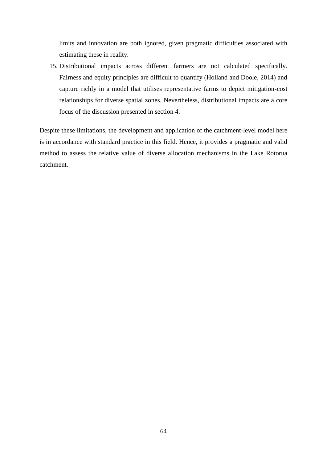limits and innovation are both ignored, given pragmatic difficulties associated with estimating these in reality.

15. Distributional impacts across different farmers are not calculated specifically. Fairness and equity principles are difficult to quantify (Holland and Doole, 2014) and capture richly in a model that utilises representative farms to depict mitigation-cost relationships for diverse spatial zones. Nevertheless, distributional impacts are a core focus of the discussion presented in section 4.

Despite these limitations, the development and application of the catchment-level model here is in accordance with standard practice in this field. Hence, it provides a pragmatic and valid method to assess the relative value of diverse allocation mechanisms in the Lake Rotorua catchment.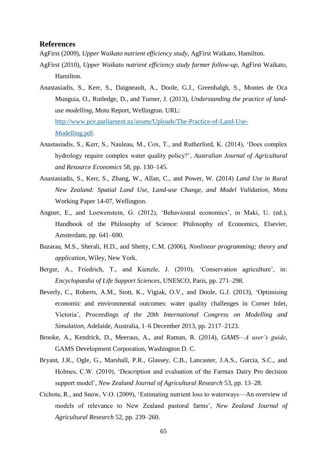# <span id="page-64-0"></span>**References**

AgFirst (2009), *Upper Waikato nutrient efficiency study*, AgFirst Waikato, Hamilton.

- AgFirst (2010), *Upper Waikato nutrient efficiency study farmer follow-up*, AgFirst Waikato, Hamilton.
- Anastasiadis, S., Kerr, S., Daigneault, A., Doole, G.J., Greenhalgh, S., Montes de Oca Munguia, O., Rutledge, D., and Turner, J. (2013), *Understanding the practice of landuse modelling*, Motu Report, Wellington. URL: [http://www.pce.parliament.nz/assets/Uploads/The-Practice-of-Land-Use-](http://www.pce.parliament.nz/assets/Uploads/The-Practice-of-Land-Use-Modelling.pdf)

[Modelling.pdf.](http://www.pce.parliament.nz/assets/Uploads/The-Practice-of-Land-Use-Modelling.pdf)

- Anastasiadis, S., Kerr, S., Nauleau, M., Cox, T., and Rutherford, K. (2014), 'Does complex hydrology require complex water quality policy?', *Australian Journal of Agricultural and Resource Economics* 58, pp. 130–145.
- Anastasiadis, S., Kerr, S., Zhang, W., Allan, C., and Power, W. (2014) *Land Use in Rural New Zealand: Spatial Land Use, Land-use Change, and Model Validation,* Motu Working Paper 14-07, Wellington.
- Angner, E., and Loewenstein, G. (2012), 'Behavioural economics', in Maki, U. (ed.), Handbook of the Philosophy of Science: Philosophy of Economics, Elsevier, Amsterdam, pp. 641–690.
- Bazaraa, M.S., Sherali, H.D., and Shetty, C.M. (2006), *Nonlinear programming; theory and application*, Wiley, New York.
- Berger, A., Friedrich, T., and Kienzle, J. (2010), 'Conservation agriculture', in: *Encyclopaedia of Life Support Sciences*, UNESCO, Paris, pp. 271–298.
- Beverly, C., Roberts, A.M., Stott, K., Vigiak, O.V., and Doole, G.J. (2013), 'Optimising economic and environmental outcomes: water quality challenges in Corner Inlet, Victoria', *Proceedings of the 20th International Congress on Modelling and Simulation*, Adelaide, Australia, 1–6 December 2013, pp. 2117–2123.
- Brooke, A., Kendrick, D., Meeraus, A., and Raman, R. (2014), *GAMS—A user's guide*, GAMS Development Corporation, Washington D. C.
- Bryant, J.R., Ogle, G., Marshall, P.R., Glassey, C.B., Lancaster, J.A.S., Garcia, S.C., and Holmes, C.W. (2010), 'Description and evaluation of the Farmax Dairy Pro decision support model', *New Zealand Journal of Agricultural Research* 53, pp. 13–28.
- Cichota, R., and Snow, V.O. (2009), 'Estimating nutrient loss to waterways—An overview of models of relevance to New Zealand pastoral farms', *New Zealand Journal of Agricultural Research* 52, pp. 239–260.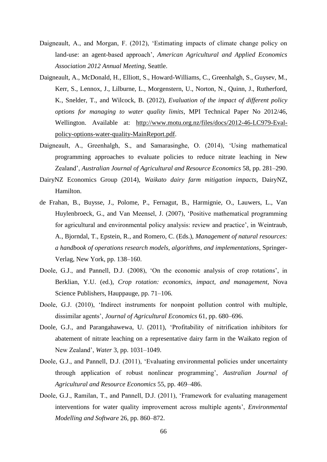- Daigneault, A., and Morgan, F. (2012), 'Estimating impacts of climate change policy on land-use: an agent-based approach', *American Agricultural and Applied Economics Association 2012 Annual Meeting*, Seattle.
- Daigneault, A., McDonald, H., Elliott, S., Howard-Williams, C., Greenhalgh, S., Guysev, M., Kerr, S., Lennox, J., Lilburne, L., Morgenstern, U., Norton, N., Quinn, J., Rutherford, K., Snelder, T., and Wilcock, B. (2012), *Evaluation of the impact of different policy options for managing to water quality limits*, MPI Technical Paper No 2012/46, Wellington. Available at: [http://www.motu.org.nz/files/docs/2012-46-LC979-Eval](http://www.motu.org.nz/files/docs/2012-46-LC979-Eval-policy-options-water-quality-MainReport.pdf)[policy-options-water-quality-MainReport.pdf.](http://www.motu.org.nz/files/docs/2012-46-LC979-Eval-policy-options-water-quality-MainReport.pdf)
- Daigneault, A., Greenhalgh, S., and Samarasinghe, O. (2014), 'Using mathematical programming approaches to evaluate policies to reduce nitrate leaching in New Zealand', *Australian Journal of Agricultural and Resource Economics* 58, pp. 281–290.
- DairyNZ Economics Group (2014), *Waikato dairy farm mitigation impacts*, DairyNZ, Hamilton.
- de Frahan, B., Buysse, J., Polome, P., Fernagut, B., Harmignie, O., Lauwers, L., Van Huylenbroeck, G., and Van Meensel, J. (2007), 'Positive mathematical programming for agricultural and environmental policy analysis: review and practice', in Weintraub, A., Bjorndal, T., Epstein, R., and Romero, C. (Eds.), *Management of natural resources: a handbook of operations research models, algorithms, and implementations*, Springer-Verlag, New York, pp. 138–160.
- Doole, G.J., and Pannell, D.J. (2008), 'On the economic analysis of crop rotations', in Berklian, Y.U. (ed.), *Crop rotation: economics, impact, and management*, Nova Science Publishers, Hauppauge, pp. 71–106.
- Doole, G.J. (2010), 'Indirect instruments for nonpoint pollution control with multiple, dissimilar agents', *Journal of Agricultural Economics* 61, pp. 680–696.
- Doole, G.J., and Parangahawewa, U. (2011), 'Profitability of nitrification inhibitors for abatement of nitrate leaching on a representative dairy farm in the Waikato region of New Zealand', *Water* 3, pp. 1031–1049.
- Doole, G.J., and Pannell, D.J. (2011), 'Evaluating environmental policies under uncertainty through application of robust nonlinear programming', *Australian Journal of Agricultural and Resource Economics* 55, pp. 469–486.
- Doole, G.J., Ramilan, T., and Pannell, D.J. (2011), 'Framework for evaluating management interventions for water quality improvement across multiple agents', *Environmental Modelling and Software* 26, pp. 860–872.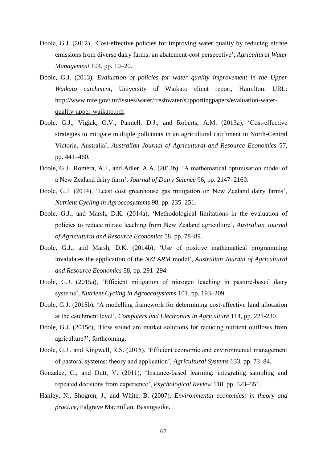- Doole, G.J. (2012), 'Cost-effective policies for improving water quality by reducing nitrate emissions from diverse dairy farms: an abatement-cost perspective', *Agricultural Water Management* 104, pp. 10–20.
- Doole, G.J. (2013), *Evaluation of policies for water quality improvement in the Upper Waikato catchment*, University of Waikato client report, Hamilton. URL: [http://www.mfe.govt.nz/issues/water/freshwater/supportingpapers/evaluation-water](http://www.mfe.govt.nz/issues/water/freshwater/supportingpapers/evaluation-water-quality-upper-waikato.pdf)[quality-upper-waikato.pdf.](http://www.mfe.govt.nz/issues/water/freshwater/supportingpapers/evaluation-water-quality-upper-waikato.pdf)
- Doole, G.J., Vigiak, O.V., Pannell, D.J., and Roberts, A.M. (2013a), 'Cost-effective strategies to mitigate multiple pollutants in an agricultural catchment in North-Central Victoria, Australia', *Australian Journal of Agricultural and Resource Economics* 57, pp. 441–460.
- Doole, G.J., Romera, A.J., and Adler, A.A. (2013b), 'A mathematical optimisation model of a New Zealand dairy farm', *Journal of Dairy Science* 96, pp. 2147–2160.
- Doole, G.J. (2014), 'Least cost greenhouse gas mitigation on New Zealand dairy farms', *Nutrient Cycling in Agroecosystems* 98, pp. 235–251.
- Doole, G.J., and Marsh, D.K. (2014a), 'Methodological limitations in the evaluation of policies to reduce nitrate leaching from New Zealand agriculture', *Australian Journal of Agricultural and Resource Economics* 58, pp. 78–89.
- Doole, G.J., and Marsh, D.K. (2014b), 'Use of positive mathematical programming invalidates the application of the *NZFARM* model', *Australian Journal of Agricultural and Resource Economics* 58, pp. 291–294.
- Doole, G.J. (2015a), 'Efficient mitigation of nitrogen leaching in pasture-based dairy systems', *Nutrient Cycling in Agroecosystems* 101, pp. 193–209.
- Doole, G.J. (2015b), 'A modelling framework for determining cost-effective land allocation at the catchment level', *Computers and Electronics in Agriculture* 114, pp. 221-230.
- Doole, G.J. (2015c), 'How sound are market solutions for reducing nutrient outflows from agriculture?', forthcoming.
- Doole, G.J., and Kingwell, R.S. (2015), 'Efficient economic and environmental management of pastoral systems: theory and application', *Agricultural Systems* 133, pp. 73–84.
- Gonzalez, C., and Dutt, V. (2011), 'Instance-based learning: integrating sampling and repeated decisions from experience', *Psychological Review* 118, pp. 523–551.
- Hanley, N., Shogren, J., and White, B. (2007), *Environmental economics: in theory and practice*, Palgrave Macmillan, Basingstoke.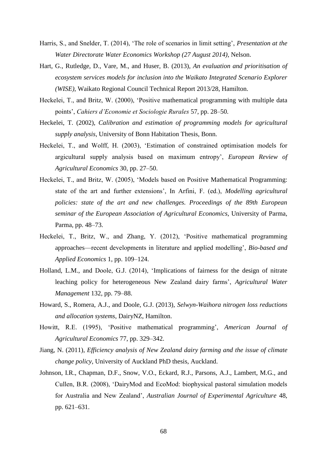- Harris, S., and Snelder, T. (2014), 'The role of scenarios in limit setting', *Presentation at the Water Directorate Water Economics Workshop (27 August 2014)*, Nelson.
- Hart, G., Rutledge, D., Vare, M., and Huser, B. (2013), *An evaluation and prioritisation of ecosystem services models for inclusion into the Waikato Integrated Scenario Explorer (WISE)*, Waikato Regional Council Technical Report 2013/28, Hamilton.
- Heckelei, T., and Britz, W. (2000), 'Positive mathematical programming with multiple data points', *Cahiers d'Economie et Sociologie Rurales* 57, pp. 28–50.
- Heckelei, T. (2002), *Calibration and estimation of programming models for agricultural supply analysis*, University of Bonn Habitation Thesis, Bonn.
- Heckelei, T., and Wolff, H. (2003), 'Estimation of constrained optimisation models for argicultural supply analysis based on maximum entropy', *European Review of Agricultural Economics* 30, pp. 27–50.
- Heckelei, T., and Britz, W. (2005), 'Models based on Positive Mathematical Programming: state of the art and further extensions', In Arfini, F. (ed.), *Modelling agricultural policies: state of the art and new challenges. Proceedings of the 89th European seminar of the European Association of Agricultural Economics*, University of Parma, Parma, pp. 48–73.
- Heckelei, T., Britz, W., and Zhang, Y. (2012), 'Positive mathematical programming approaches—recent developments in literature and applied modelling', *Bio-based and Applied Economics* 1, pp. 109–124.
- Holland, L.M., and Doole, G.J. (2014), 'Implications of fairness for the design of nitrate leaching policy for heterogeneous New Zealand dairy farms', *Agricultural Water Management* 132, pp. 79–88.
- Howard, S., Romera, A.J., and Doole, G.J. (2013), *Selwyn-Waihora nitrogen loss reductions and allocation systems*, DairyNZ, Hamilton.
- Howitt, R.E. (1995), 'Positive mathematical programming', *American Journal of Agricultural Economics* 77, pp. 329–342.
- Jiang, N. (2011), *Efficiency analysis of New Zealand dairy farming and the issue of climate change policy*, University of Auckland PhD thesis, Auckland.
- Johnson, I.R., Chapman, D.F., Snow, V.O., Eckard, R.J., Parsons, A.J., Lambert, M.G., and Cullen, B.R. (2008), 'DairyMod and EcoMod: biophysical pastoral simulation models for Australia and New Zealand', *Australian Journal of Experimental Agriculture* 48, pp. 621–631.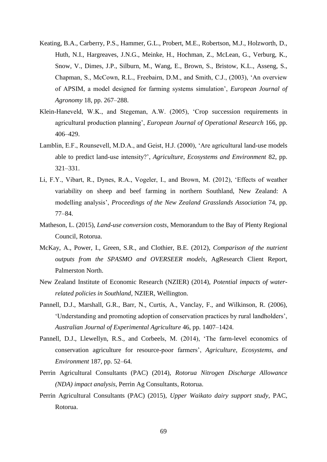- Keating, B.A., Carberry, P.S., Hammer, G.L., Probert, M.E., Robertson, M.J., Holzworth, D., Huth, N.I., Hargreaves, J.N.G., Meinke, H., Hochman, Z., McLean, G., Verburg, K., Snow, V., Dimes, J.P., Silburn, M., Wang, E., Brown, S., Bristow, K.L., Asseng, S., Chapman, S., McCown, R.L., Freebairn, D.M., and Smith, C.J., (2003), 'An overview of APSIM, a model designed for farming systems simulation', *European Journal of Agronomy* 18, pp. 267–288.
- Klein-Haneveld, W.K., and Stegeman, A.W. (2005), 'Crop succession requirements in agricultural production planning', *European Journal of Operational Research* 166, pp. 406–429.
- Lamblin, E.F., Rounsevell, M.D.A., and Geist, H.J. (2000), 'Are agricultural land-use models able to predict land-use intensity?', *Agriculture, Ecosystems and Environment* 82, pp. 321–331.
- Li, F.Y., Vibart, R., Dynes, R.A., Vogeler, I., and Brown, M. (2012), 'Effects of weather variability on sheep and beef farming in northern Southland, New Zealand: A modelling analysis', *Proceedings of the New Zealand Grasslands Association* 74, pp. 77–84.
- Matheson, L. (2015), *Land-use conversion costs*, Memorandum to the Bay of Plenty Regional Council, Rotorua.
- McKay, A., Power, I., Green, S.R., and Clothier, B.E. (2012), *Comparison of the nutrient outputs from the SPASMO and OVERSEER models*, AgResearch Client Report, Palmerston North.
- New Zealand Institute of Economic Research (NZIER) (2014), *Potential impacts of waterrelated policies in Southland*, NZIER, Wellington.
- Pannell, D.J., Marshall, G.R., Barr, N., Curtis, A., Vanclay, F., and Wilkinson, R. (2006), 'Understanding and promoting adoption of conservation practices by rural landholders', *Australian Journal of Experimental Agriculture* 46, pp. 1407–1424.
- Pannell, D.J., Llewellyn, R.S., and Corbeels, M. (2014), 'The farm-level economics of conservation agriculture for resource-poor farmers', *Agriculture, Ecosystems, and Environment* 187, pp. 52–64.
- Perrin Agricultural Consultants (PAC) (2014), *Rotorua Nitrogen Discharge Allowance (NDA) impact analysis*, Perrin Ag Consultants, Rotorua.
- Perrin Agricultural Consultants (PAC) (2015), *Upper Waikato dairy support study*, PAC, Rotorua.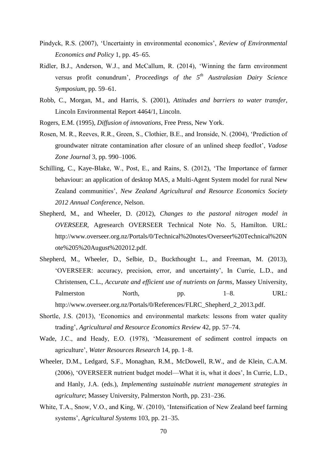- Pindyck, R.S. (2007), 'Uncertainty in environmental economics', *Review of Environmental Economics and Policy* 1, pp. 45–65.
- Ridler, B.J., Anderson, W.J., and McCallum, R. (2014), 'Winning the farm environment versus profit conundrum', *Proceedings of the 5th Australasian Dairy Science Symposium*, pp. 59–61.
- Robb, C., Morgan, M., and Harris, S. (2001), *Attitudes and barriers to water transfer*, Lincoln Environmental Report 4464/1, Lincoln.
- Rogers, E.M. (1995), *Diffusion of innovations*, Free Press, New York.
- Rosen, M. R., Reeves, R.R., Green, S., Clothier, B.E., and Ironside, N. (2004), 'Prediction of groundwater nitrate contamination after closure of an unlined sheep feedlot', *Vadose Zone Journal* 3, pp. 990–1006.
- Schilling, C., Kaye-Blake, W., Post, E., and Rains, S. (2012), 'The Importance of farmer behaviour: an application of desktop MAS, a Multi-Agent System model for rural New Zealand communities', *New Zealand Agricultural and Resource Economics Society 2012 Annual Conference*, Nelson.
- Shepherd, M., and Wheeler, D. (2012), *Changes to the pastoral nitrogen model in OVERSEER*, Agresearch OVERSEER Technical Note No. 5, Hamilton. URL: http://www.overseer.org.nz/Portals/0/Technical%20notes/Overseer%20Technical%20N ote%205%20August%202012.pdf.
- Shepherd, M., Wheeler, D., Selbie, D., Buckthought L., and Freeman, M. (2013), 'OVERSEER: accuracy, precision, error, and uncertainty', In Currie, L.D., and Christensen, C.L., *Accurate and efficient use of nutrients on farms*, Massey University, Palmerston North, pp. 1–8. URL: http://www.overseer.org.nz/Portals/0/References/FLRC\_Shepherd\_2\_2013.pdf.
- Shortle, J.S. (2013), 'Economics and environmental markets: lessons from water quality trading', *Agricultural and Resource Economics Review* 42, pp. 57–74.
- Wade, J.C., and Heady, E.O. (1978), 'Measurement of sediment control impacts on agriculture', *Water Resources Research* 14, pp. 1–8.
- Wheeler, D.M., Ledgard, S.F., Monaghan, R.M., McDowell, R.W., and de Klein, C.A.M. (2006), 'OVERSEER nutrient budget model—What it is, what it does', In Currie, L.D., and Hanly, J.A. (eds.), *Implementing sustainable nutrient management strategies in agriculture*; Massey University, Palmerston North, pp. 231–236.
- White, T.A., Snow, V.O., and King, W. (2010), 'Intensification of New Zealand beef farming systems', *Agricultural Systems* 103, pp. 21–35.